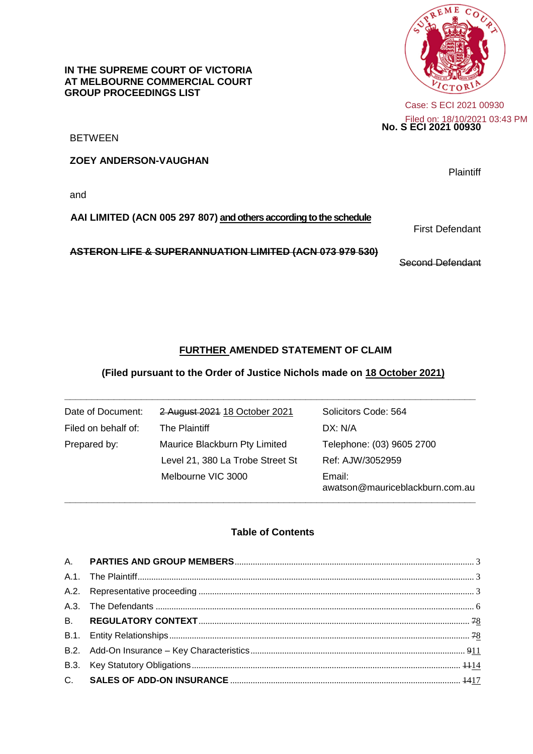**ME** с

**No. S ECI 2021 00930** Filed on: 18/10/2021 03:43 PMCase: S ECI 2021 00930

BETWEEN

**ZOEY ANDERSON-VAUGHAN**

**GROUP PROCEEDINGS LIST**

**IN THE SUPREME COURT OF VICTORIA AT MELBOURNE COMMERCIAL COURT**

and

#### **AAI LIMITED (ACN 005 297 807) and others according to the schedule**

**ASTERON LIFE & SUPERANNUATION LIMITED (ACN 073 979 530)**

Second Defendant

First Defendant

## **FURTHER AMENDED STATEMENT OF CLAIM**

#### **(Filed pursuant to the Order of Justice Nichols made on 18 October 2021)**

**\_\_\_\_\_\_\_\_\_\_\_\_\_\_\_\_\_\_\_\_\_\_\_\_\_\_\_\_\_\_\_\_\_\_\_\_\_\_\_\_\_\_\_\_\_\_\_\_\_\_\_\_\_\_\_\_\_\_\_\_\_\_\_\_\_\_\_\_\_\_\_\_\_\_\_**

| Date of Document:   | 2 August 2021 18 October 2021    | Solicitors Code: 564                      |
|---------------------|----------------------------------|-------------------------------------------|
| Filed on behalf of: | The Plaintiff                    | DX: N/A                                   |
| Prepared by:        | Maurice Blackburn Pty Limited    | Telephone: (03) 9605 2700                 |
|                     | Level 21, 380 La Trobe Street St | Ref: AJW/3052959                          |
|                     | Melbourne VIC 3000               | Email:<br>awatson@mauriceblackburn.com.au |

### **Table of Contents**

**\_\_\_\_\_\_\_\_\_\_\_\_\_\_\_\_\_\_\_\_\_\_\_\_\_\_\_\_\_\_\_\_\_\_\_\_\_\_\_\_\_\_\_\_\_\_\_\_\_\_\_\_\_\_\_\_\_\_\_\_\_\_\_\_\_\_\_\_\_\_\_\_\_\_\_**

**Plaintiff** 

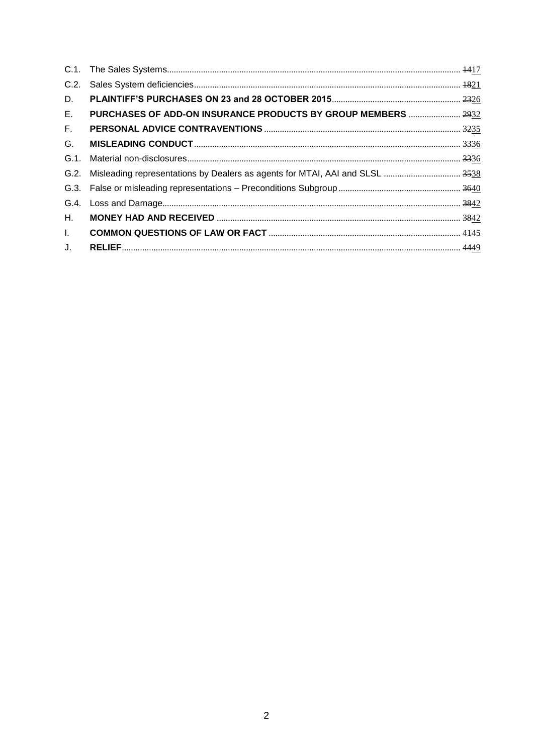| C.2.         |                                                               |  |
|--------------|---------------------------------------------------------------|--|
| D.           |                                                               |  |
| Е.           | PURCHASES OF ADD-ON INSURANCE PRODUCTS BY GROUP MEMBERS  2932 |  |
| F.           |                                                               |  |
| G.           |                                                               |  |
| $G.1$ .      |                                                               |  |
|              |                                                               |  |
|              |                                                               |  |
|              |                                                               |  |
| Н.           |                                                               |  |
| $\mathbf{L}$ |                                                               |  |
| J.           |                                                               |  |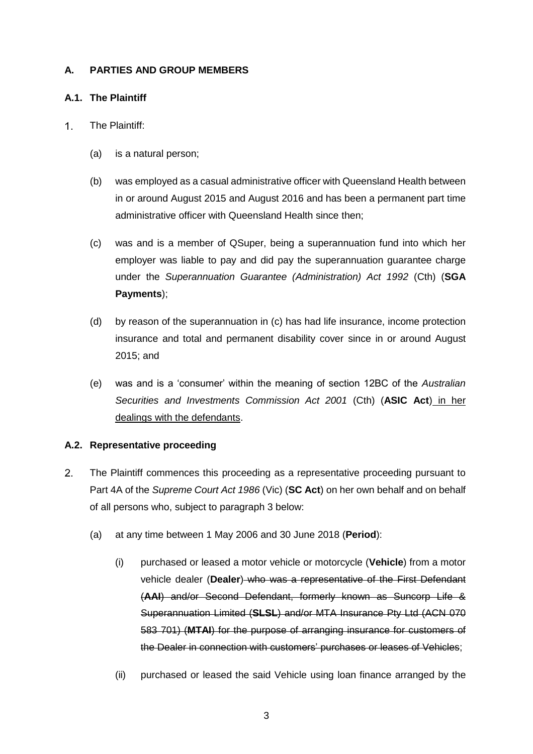## <span id="page-2-0"></span>**A. PARTIES AND GROUP MEMBERS**

### <span id="page-2-1"></span>**A.1. The Plaintiff**

- $1<sub>1</sub>$ The Plaintiff:
	- (a) is a natural person;
	- (b) was employed as a casual administrative officer with Queensland Health between in or around August 2015 and August 2016 and has been a permanent part time administrative officer with Queensland Health since then;
	- (c) was and is a member of QSuper, being a superannuation fund into which her employer was liable to pay and did pay the superannuation guarantee charge under the *Superannuation Guarantee (Administration) Act 1992* (Cth) (**SGA Payments**);
	- (d) by reason of the superannuation in (c) has had life insurance, income protection insurance and total and permanent disability cover since in or around August 2015; and
	- (e) was and is a 'consumer' within the meaning of section 12BC of the *Australian Securities and Investments Commission Act 2001* (Cth) (**ASIC Act**) in her dealings with the defendants.

## <span id="page-2-2"></span>**A.2. Representative proceeding**

- <span id="page-2-3"></span> $2.$ The Plaintiff commences this proceeding as a representative proceeding pursuant to Part 4A of the *Supreme Court Act 1986* (Vic) (**SC Act**) on her own behalf and on behalf of all persons who, subject to paragraph 3 below:
	- (a) at any time between 1 May 2006 and 30 June 2018 (**Period**):
		- (i) purchased or leased a motor vehicle or motorcycle (**Vehicle**) from a motor vehicle dealer (**Dealer**) who was a representative of the First Defendant (**AAI**) and/or Second Defendant, formerly known as Suncorp Life & Superannuation Limited (**SLSL**) and/or MTA Insurance Pty Ltd (ACN 070 583 701) (**MTAI**) for the purpose of arranging insurance for customers of the Dealer in connection with customers' purchases or leases of Vehicles;
		- (ii) purchased or leased the said Vehicle using loan finance arranged by the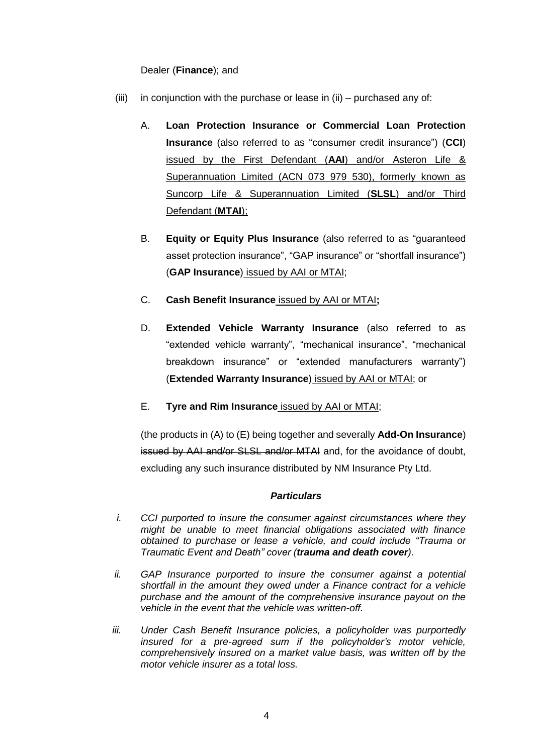### Dealer (**Finance**); and

- (iii) in conjunction with the purchase or lease in (ii) purchased any of:
	- A. **Loan Protection Insurance or Commercial Loan Protection Insurance** (also referred to as "consumer credit insurance") (**CCI**) issued by the First Defendant (**AAI**) and/or Asteron Life & Superannuation Limited (ACN 073 979 530), formerly known as Suncorp Life & Superannuation Limited (**SLSL**) and/or Third Defendant (**MTAI**);
	- B. **Equity or Equity Plus Insurance** (also referred to as "guaranteed asset protection insurance", "GAP insurance" or "shortfall insurance") (**GAP Insurance**) issued by AAI or MTAI;
	- C. **Cash Benefit Insurance** issued by AAI or MTAI**;**
	- D. **Extended Vehicle Warranty Insurance** (also referred to as "extended vehicle warranty", "mechanical insurance", "mechanical breakdown insurance" or "extended manufacturers warranty") (**Extended Warranty Insurance**) issued by AAI or MTAI; or
	- E. **Tyre and Rim Insurance** issued by AAI or MTAI;

(the products in (A) to (E) being together and severally **Add-On Insurance**) issued by AAI and/or SLSL and/or MTAI and, for the avoidance of doubt, excluding any such insurance distributed by NM Insurance Pty Ltd.

### *Particulars*

- *i. CCI purported to insure the consumer against circumstances where they might be unable to meet financial obligations associated with finance obtained to purchase or lease a vehicle, and could include "Trauma or Traumatic Event and Death" cover (trauma and death cover).*
- *ii.* GAP Insurance purported to insure the consumer against a potential *shortfall in the amount they owed under a Finance contract for a vehicle purchase and the amount of the comprehensive insurance payout on the vehicle in the event that the vehicle was written-off.*
- iii. Under Cash Benefit Insurance policies, a policyholder was purportedly *insured for a pre-agreed sum if the policyholder's motor vehicle, comprehensively insured on a market value basis, was written off by the motor vehicle insurer as a total loss.*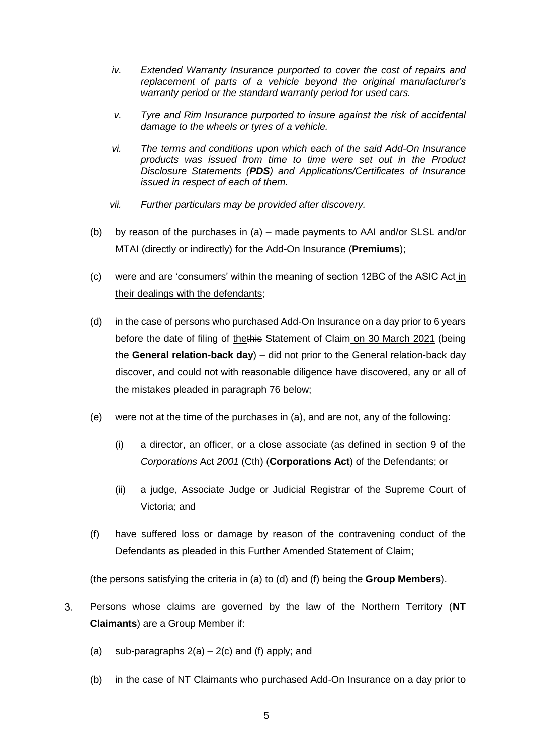- *iv. Extended Warranty Insurance purported to cover the cost of repairs and replacement of parts of a vehicle beyond the original manufacturer's warranty period or the standard warranty period for used cars.*
- *v. Tyre and Rim Insurance purported to insure against the risk of accidental damage to the wheels or tyres of a vehicle.*
- *vi. The terms and conditions upon which each of the said Add-On Insurance products was issued from time to time were set out in the Product Disclosure Statements (PDS) and Applications/Certificates of Insurance issued in respect of each of them.*
- *vii. Further particulars may be provided after discovery.*
- (b) by reason of the purchases in (a) made payments to AAI and/or SLSL and/or MTAI (directly or indirectly) for the Add-On Insurance (**Premiums**);
- <span id="page-4-0"></span>(c) were and are 'consumers' within the meaning of section 12BC of the ASIC Act in their dealings with the defendants;
- (d) in the case of persons who purchased Add-On Insurance on a day prior to 6 years before the date of filing of thethis Statement of Claim on 30 March 2021 (being the **General relation-back day**) – did not prior to the General relation-back day discover, and could not with reasonable diligence have discovered, any or all of the mistakes pleaded in paragraph [76](#page-42-0) below;
- (e) were not at the time of the purchases in (a), and are not, any of the following:
	- (i) a director, an officer, or a close associate (as defined in section 9 of the *Corporations* Act *2001* (Cth) (**Corporations Act**) of the Defendants; or
	- (ii) a judge, Associate Judge or Judicial Registrar of the Supreme Court of Victoria; and
- (f) have suffered loss or damage by reason of the contravening conduct of the Defendants as pleaded in this Further Amended Statement of Claim;

(the persons satisfying the criteria in (a) to (d) and (f) being the **Group Members**).

- $3<sub>1</sub>$ Persons whose claims are governed by the law of the Northern Territory (**NT Claimants**) are a Group Member if:
	- (a) sub-paragraphs  $2(a) 2(c)$  $2(a) 2(c)$  and (f) apply; and
	- (b) in the case of NT Claimants who purchased Add-On Insurance on a day prior to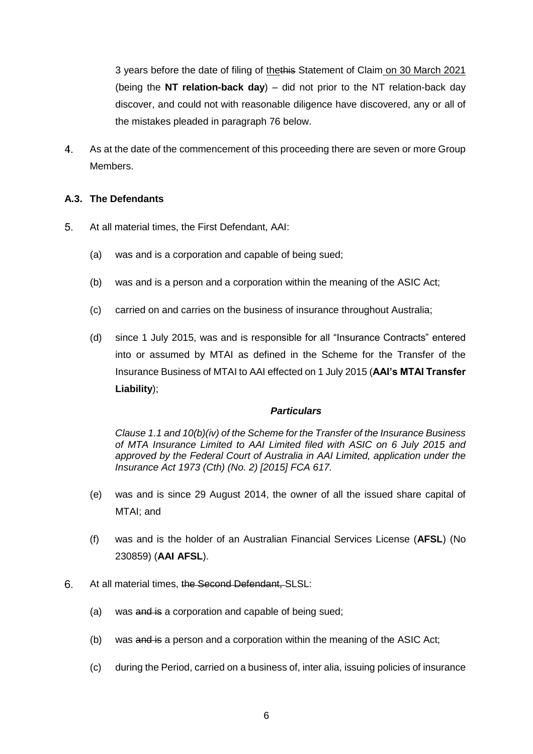3 years before the date of filing of thethis Statement of Claim on 30 March 2021 (being the **NT relation-back day**) – did not prior to the NT relation-back day discover, and could not with reasonable diligence have discovered, any or all of the mistakes pleaded in paragraph [76](#page-42-0) below.

4. As at the date of the commencement of this proceeding there are seven or more Group Members.

## <span id="page-5-0"></span>**A.3. The Defendants**

- <span id="page-5-1"></span> $5.$ At all material times, the First Defendant, AAI:
	- (a) was and is a corporation and capable of being sued;
	- (b) was and is a person and a corporation within the meaning of the ASIC Act;
	- (c) carried on and carries on the business of insurance throughout Australia;
	- (d) since 1 July 2015, was and is responsible for all "Insurance Contracts" entered into or assumed by MTAI as defined in the Scheme for the Transfer of the Insurance Business of MTAI to AAI effected on 1 July 2015 (**AAI's MTAI Transfer Liability**);

## *Particulars*

*Clause 1.1 and 10(b)(iv) of the Scheme for the Transfer of the Insurance Business of MTA Insurance Limited to AAI Limited filed with ASIC on 6 July 2015 and approved by the Federal Court of Australia in AAI Limited, application under the Insurance Act 1973 (Cth) (No. 2) [2015] FCA 617.*

- (e) was and is since 29 August 2014, the owner of all the issued share capital of MTAI; and
- (f) was and is the holder of an Australian Financial Services License (**AFSL**) (No 230859) (**AAI AFSL**).
- $6.$ At all material times, the Second Defendant, SLSL:
	- (a) was and is a corporation and capable of being sued;
	- (b) was and is a person and a corporation within the meaning of the ASIC Act;
	- (c) during the Period, carried on a business of, inter alia, issuing policies of insurance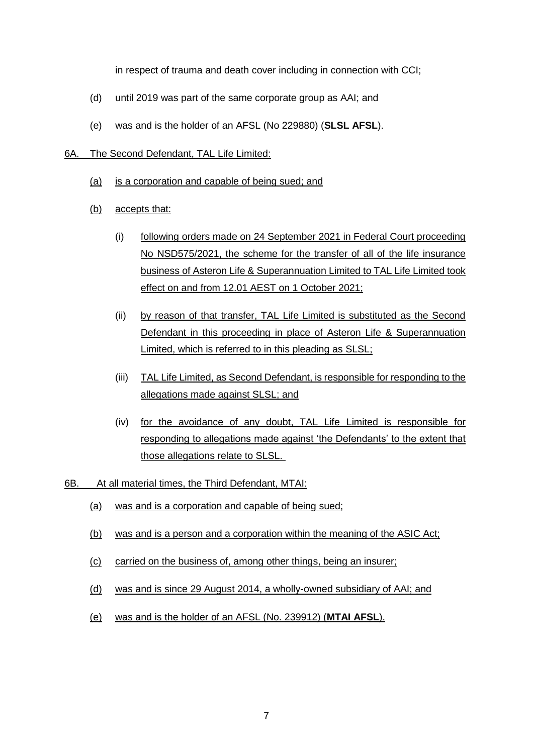in respect of trauma and death cover including in connection with CCI;

- (d) until 2019 was part of the same corporate group as AAI; and
- (e) was and is the holder of an AFSL (No 229880) (**SLSL AFSL**).

#### 6A. The Second Defendant, TAL Life Limited:

- (a) is a corporation and capable of being sued; and
- (b) accepts that:
	- (i) following orders made on 24 September 2021 in Federal Court proceeding No NSD575/2021, the scheme for the transfer of all of the life insurance business of Asteron Life & Superannuation Limited to TAL Life Limited took effect on and from 12.01 AEST on 1 October 2021;
	- (ii) by reason of that transfer, TAL Life Limited is substituted as the Second Defendant in this proceeding in place of Asteron Life & Superannuation Limited, which is referred to in this pleading as SLSL;
	- (iii) TAL Life Limited, as Second Defendant, is responsible for responding to the allegations made against SLSL; and
	- (iv) for the avoidance of any doubt, TAL Life Limited is responsible for responding to allegations made against 'the Defendants' to the extent that those allegations relate to SLSL.
- 6B. At all material times, the Third Defendant, MTAI:
	- (a) was and is a corporation and capable of being sued;
	- (b) was and is a person and a corporation within the meaning of the ASIC Act;
	- (c) carried on the business of, among other things, being an insurer;
	- (d) was and is since 29 August 2014, a wholly-owned subsidiary of AAI; and
	- (e) was and is the holder of an AFSL (No. 239912) (**MTAI AFSL**).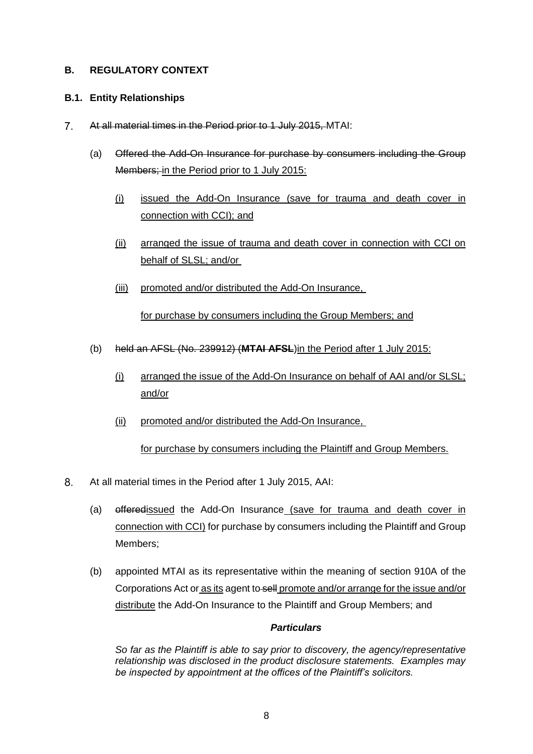## <span id="page-7-0"></span>**B. REGULATORY CONTEXT**

### <span id="page-7-1"></span>**B.1. Entity Relationships**

- $7<sup>1</sup>$ At all material times in the Period prior to 1 July 2015, MTAI:
	- (a) Offered the Add-On Insurance for purchase by consumers including the Group Members; in the Period prior to 1 July 2015:
		- (i) issued the Add-On Insurance (save for trauma and death cover in connection with CCI); and
		- (ii) arranged the issue of trauma and death cover in connection with CCI on behalf of SLSL; and/or
		- (iii) promoted and/or distributed the Add-On Insurance,

for purchase by consumers including the Group Members; and

- (b) held an AFSL (No. 239912) (**MTAI AFSL**)in the Period after 1 July 2015:
	- (i) arranged the issue of the Add-On Insurance on behalf of AAI and/or SLSL; and/or
	- (ii) promoted and/or distributed the Add-On Insurance,

for purchase by consumers including the Plaintiff and Group Members.

- $8<sub>1</sub>$ At all material times in the Period after 1 July 2015, AAI:
	- (a) offeredissued the Add-On Insurance (save for trauma and death cover in connection with CCI) for purchase by consumers including the Plaintiff and Group Members;
	- (b) appointed MTAI as its representative within the meaning of section 910A of the Corporations Act or as its agent to sell promote and/or arrange for the issue and/or distribute the Add-On Insurance to the Plaintiff and Group Members; and

## *Particulars*

*So far as the Plaintiff is able to say prior to discovery, the agency/representative relationship was disclosed in the product disclosure statements. Examples may be inspected by appointment at the offices of the Plaintiff's solicitors.*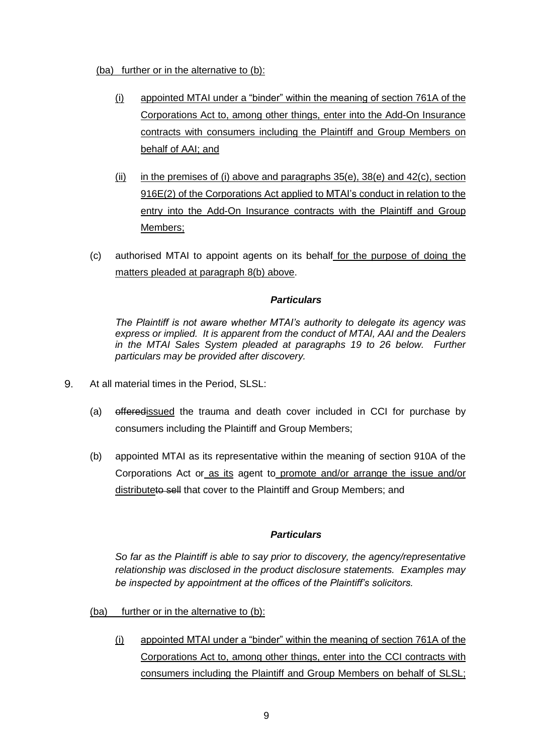(ba) further or in the alternative to (b):

- (i) appointed MTAI under a "binder" within the meaning of section 761A of the Corporations Act to, among other things, enter into the Add-On Insurance contracts with consumers including the Plaintiff and Group Members on behalf of AAI; and
- (ii) in the premises of (i) above and paragraphs  $35(e)$ ,  $38(e)$  and  $42(c)$ , section 916E(2) of the Corporations Act applied to MTAI's conduct in relation to the entry into the Add-On Insurance contracts with the Plaintiff and Group Members;
- (c) authorised MTAI to appoint agents on its behalf for the purpose of doing the matters pleaded at paragraph 8(b) above.

### *Particulars*

*The Plaintiff is not aware whether MTAI's authority to delegate its agency was express or implied. It is apparent from the conduct of MTAI, AAI and the Dealers in the MTAI Sales System pleaded at paragraphs [19](#page-16-2) to [26](#page-24-0) below. Further particulars may be provided after discovery.*

- 9. At all material times in the Period, SLSL:
	- (a) offeredissued the trauma and death cover included in CCI for purchase by consumers including the Plaintiff and Group Members;
	- (b) appointed MTAI as its representative within the meaning of section 910A of the Corporations Act or as its agent to promote and/or arrange the issue and/or distributeto sell that cover to the Plaintiff and Group Members; and

## *Particulars*

*So far as the Plaintiff is able to say prior to discovery, the agency/representative relationship was disclosed in the product disclosure statements. Examples may be inspected by appointment at the offices of the Plaintiff's solicitors.*

- (ba) further or in the alternative to (b):
	- (i) appointed MTAI under a "binder" within the meaning of section 761A of the Corporations Act to, among other things, enter into the CCI contracts with consumers including the Plaintiff and Group Members on behalf of SLSL;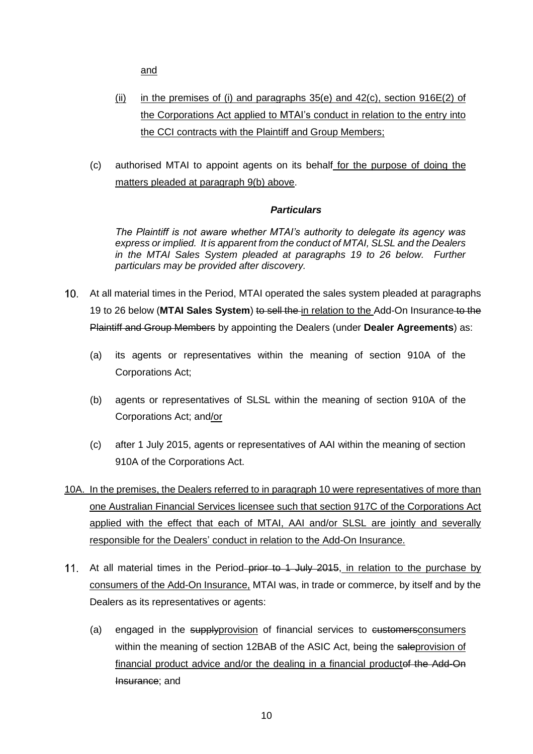and

- (ii) in the premises of (i) and paragraphs  $35(e)$  and  $42(c)$ , section  $916E(2)$  of the Corporations Act applied to MTAI's conduct in relation to the entry into the CCI contracts with the Plaintiff and Group Members;
- (c) authorised MTAI to appoint agents on its behalf for the purpose of doing the matters pleaded at paragraph 9(b) above.

### *Particulars*

*The Plaintiff is not aware whether MTAI's authority to delegate its agency was express or implied. It is apparent from the conduct of MTAI, SLSL and the Dealers in the MTAI Sales System pleaded at paragraphs [19](#page-16-2) to [26](#page-24-0) below. Further particulars may be provided after discovery.*

- At all material times in the Period, MTAI operated the sales system pleaded at paragraphs [19](#page-16-2) to [26](#page-24-0) below (**MTAI Sales System**) to sell the in relation to the Add-On Insurance to the Plaintiff and Group Members by appointing the Dealers (under **Dealer Agreements**) as:
	- (a) its agents or representatives within the meaning of section 910A of the Corporations Act;
	- (b) agents or representatives of SLSL within the meaning of section 910A of the Corporations Act; and/or
	- (c) after 1 July 2015, agents or representatives of AAI within the meaning of section 910A of the Corporations Act.
- 10A. In the premises, the Dealers referred to in paragraph 10 were representatives of more than one Australian Financial Services licensee such that section 917C of the Corporations Act applied with the effect that each of MTAI, AAI and/or SLSL are jointly and severally responsible for the Dealers' conduct in relation to the Add-On Insurance.
- 11. At all material times in the Period–prior to 1 July 2015, in relation to the purchase by consumers of the Add-On Insurance, MTAI was, in trade or commerce, by itself and by the Dealers as its representatives or agents:
	- (a) engaged in the supplyprovision of financial services to customersconsumers within the meaning of section 12BAB of the ASIC Act, being the saleprovision of financial product advice and/or the dealing in a financial productof the Add-On Insurance; and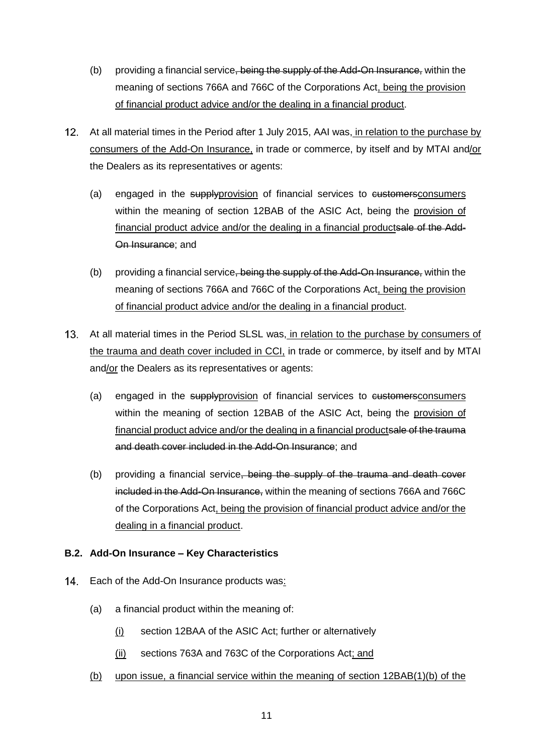- (b) providing a financial service, being the supply of the Add-On Insurance, within the meaning of sections 766A and 766C of the Corporations Act, being the provision of financial product advice and/or the dealing in a financial product.
- 12. At all material times in the Period after 1 July 2015, AAI was, in relation to the purchase by consumers of the Add-On Insurance, in trade or commerce, by itself and by MTAI and/or the Dealers as its representatives or agents:
	- (a) engaged in the supplyprovision of financial services to customersconsumers within the meaning of section 12BAB of the ASIC Act, being the provision of financial product advice and/or the dealing in a financial productsale of the Add-On Insurance; and
	- (b) providing a financial service, being the supply of the Add-On Insurance, within the meaning of sections 766A and 766C of the Corporations Act, being the provision of financial product advice and/or the dealing in a financial product.
- At all material times in the Period SLSL was, in relation to the purchase by consumers of the trauma and death cover included in CCI, in trade or commerce, by itself and by MTAI and/or the Dealers as its representatives or agents:
	- (a) engaged in the supplyprovision of financial services to eustomersconsumers within the meaning of section 12BAB of the ASIC Act, being the provision of financial product advice and/or the dealing in a financial productsale of the trauma and death cover included in the Add-On Insurance; and
	- (b) providing a financial service, being the supply of the trauma and death cover included in the Add-On Insurance, within the meaning of sections 766A and 766C of the Corporations Act, being the provision of financial product advice and/or the dealing in a financial product.

## <span id="page-10-0"></span>**B.2. Add-On Insurance – Key Characteristics**

- 14. Each of the Add-On Insurance products was:
	- (a) a financial product within the meaning of:
		- (i) section 12BAA of the ASIC Act; further or alternatively
		- (ii) sections 763A and 763C of the Corporations Act; and
	- (b) upon issue, a financial service within the meaning of section 12BAB(1)(b) of the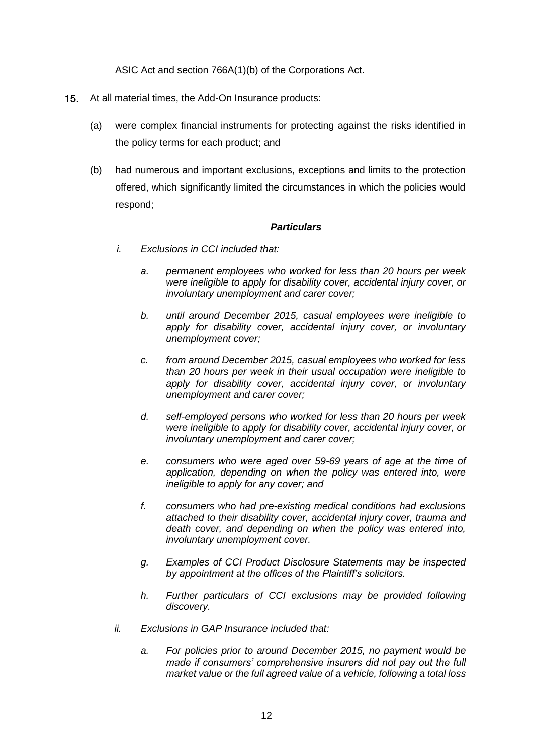### ASIC Act and section 766A(1)(b) of the Corporations Act.

- <span id="page-11-1"></span><span id="page-11-0"></span> $15.$ At all material times, the Add-On Insurance products:
	- (a) were complex financial instruments for protecting against the risks identified in the policy terms for each product; and
	- (b) had numerous and important exclusions, exceptions and limits to the protection offered, which significantly limited the circumstances in which the policies would respond;

### *Particulars*

- *i. Exclusions in CCI included that:*
	- *a. permanent employees who worked for less than 20 hours per week were ineligible to apply for disability cover, accidental injury cover, or involuntary unemployment and carer cover;*
	- *b. until around December 2015, casual employees were ineligible to apply for disability cover, accidental injury cover, or involuntary unemployment cover;*
	- *c. from around December 2015, casual employees who worked for less than 20 hours per week in their usual occupation were ineligible to apply for disability cover, accidental injury cover, or involuntary unemployment and carer cover;*
	- *d. self-employed persons who worked for less than 20 hours per week*  were ineligible to apply for disability cover, accidental injury cover, or *involuntary unemployment and carer cover;*
	- *e. consumers who were aged over 59-69 years of age at the time of application, depending on when the policy was entered into, were ineligible to apply for any cover; and*
	- *f. consumers who had pre-existing medical conditions had exclusions attached to their disability cover, accidental injury cover, trauma and death cover, and depending on when the policy was entered into, involuntary unemployment cover.*
	- *g. Examples of CCI Product Disclosure Statements may be inspected by appointment at the offices of the Plaintiff's solicitors.*
	- *h. Further particulars of CCI exclusions may be provided following discovery.*
- *ii. Exclusions in GAP Insurance included that:*
	- *a. For policies prior to around December 2015, no payment would be made if consumers' comprehensive insurers did not pay out the full market value or the full agreed value of a vehicle, following a total loss*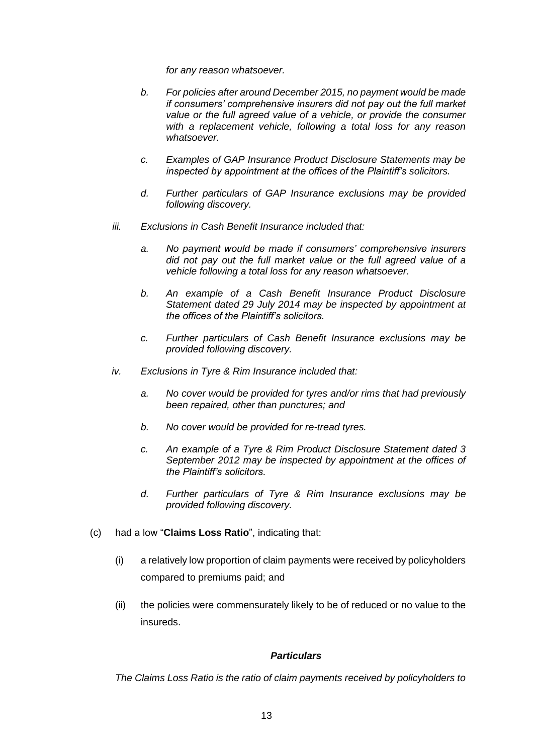*for any reason whatsoever.* 

- *b. For policies after around December 2015, no payment would be made if consumers' comprehensive insurers did not pay out the full market value or the full agreed value of a vehicle, or provide the consumer with a replacement vehicle, following a total loss for any reason whatsoever.*
- *c. Examples of GAP Insurance Product Disclosure Statements may be inspected by appointment at the offices of the Plaintiff's solicitors.*
- *d. Further particulars of GAP Insurance exclusions may be provided following discovery.*
- *iii. Exclusions in Cash Benefit Insurance included that:*
	- *a. No payment would be made if consumers' comprehensive insurers did not pay out the full market value or the full agreed value of a vehicle following a total loss for any reason whatsoever.*
	- *b. An example of a Cash Benefit Insurance Product Disclosure Statement dated 29 July 2014 may be inspected by appointment at the offices of the Plaintiff's solicitors.*
	- *c. Further particulars of Cash Benefit Insurance exclusions may be provided following discovery.*
- *iv. Exclusions in Tyre & Rim Insurance included that:*
	- *a. No cover would be provided for tyres and/or rims that had previously been repaired, other than punctures; and*
	- *b. No cover would be provided for re-tread tyres.*
	- *c. An example of a Tyre & Rim Product Disclosure Statement dated 3 September 2012 may be inspected by appointment at the offices of the Plaintiff's solicitors.*
	- *d. Further particulars of Tyre & Rim Insurance exclusions may be provided following discovery.*
- <span id="page-12-0"></span>(c) had a low "**Claims Loss Ratio**", indicating that:
	- (i) a relatively low proportion of claim payments were received by policyholders compared to premiums paid; and
	- (ii) the policies were commensurately likely to be of reduced or no value to the insureds.

#### *Particulars*

*The Claims Loss Ratio is the ratio of claim payments received by policyholders to*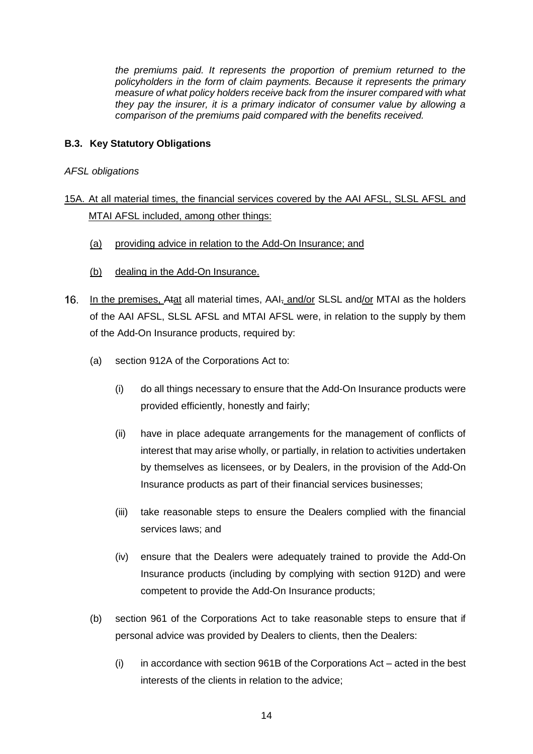*the premiums paid. It represents the proportion of premium returned to the policyholders in the form of claim payments. Because it represents the primary measure of what policy holders receive back from the insurer compared with what they pay the insurer, it is a primary indicator of consumer value by allowing a comparison of the premiums paid compared with the benefits received.*

## <span id="page-13-0"></span>**B.3. Key Statutory Obligations**

*AFSL obligations*

# 15A. At all material times, the financial services covered by the AAI AFSL, SLSL AFSL and MTAI AFSL included, among other things:

- (a) providing advice in relation to the Add-On Insurance; and
- (b) dealing in the Add-On Insurance.
- 16. In the premises, Atat all material times, AAI, and/or SLSL and/or MTAI as the holders of the AAI AFSL, SLSL AFSL and MTAI AFSL were, in relation to the supply by them of the Add-On Insurance products, required by:
	- (a) section 912A of the Corporations Act to:
		- (i) do all things necessary to ensure that the Add-On Insurance products were provided efficiently, honestly and fairly;
		- (ii) have in place adequate arrangements for the management of conflicts of interest that may arise wholly, or partially, in relation to activities undertaken by themselves as licensees, or by Dealers, in the provision of the Add-On Insurance products as part of their financial services businesses;
		- (iii) take reasonable steps to ensure the Dealers complied with the financial services laws; and
		- (iv) ensure that the Dealers were adequately trained to provide the Add-On Insurance products (including by complying with section 912D) and were competent to provide the Add-On Insurance products;
	- (b) section 961 of the Corporations Act to take reasonable steps to ensure that if personal advice was provided by Dealers to clients, then the Dealers:
		- $(i)$  in accordance with section 961B of the Corporations Act acted in the best interests of the clients in relation to the advice;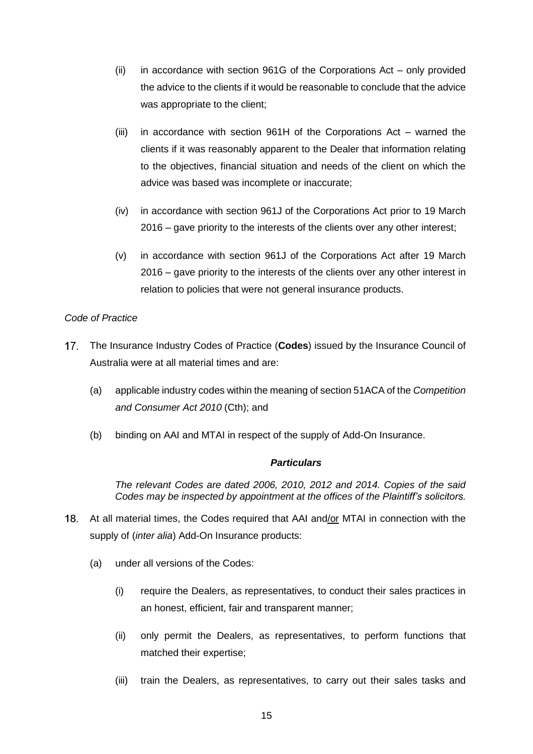- (ii) in accordance with section 961G of the Corporations Act only provided the advice to the clients if it would be reasonable to conclude that the advice was appropriate to the client;
- (iii) in accordance with section 961H of the Corporations Act warned the clients if it was reasonably apparent to the Dealer that information relating to the objectives, financial situation and needs of the client on which the advice was based was incomplete or inaccurate;
- (iv) in accordance with section 961J of the Corporations Act prior to 19 March 2016 – gave priority to the interests of the clients over any other interest;
- (v) in accordance with section 961J of the Corporations Act after 19 March 2016 *–* gave priority to the interests of the clients over any other interest in relation to policies that were not general insurance products.

### *Code of Practice*

- $17.$ The Insurance Industry Codes of Practice (**Codes**) issued by the Insurance Council of Australia were at all material times and are:
	- (a) applicable industry codes within the meaning of section 51ACA of the *Competition and Consumer Act 2010* (Cth); and
	- (b) binding on AAI and MTAI in respect of the supply of Add-On Insurance.

### *Particulars*

*The relevant Codes are dated 2006, 2010, 2012 and 2014. Copies of the said Codes may be inspected by appointment at the offices of the Plaintiff's solicitors.*

- <span id="page-14-0"></span>18. At all material times, the Codes required that AAI and/or MTAI in connection with the supply of (*inter alia*) Add-On Insurance products:
	- (a) under all versions of the Codes:
		- (i) require the Dealers, as representatives, to conduct their sales practices in an honest, efficient, fair and transparent manner;
		- (ii) only permit the Dealers, as representatives, to perform functions that matched their expertise;
		- (iii) train the Dealers, as representatives, to carry out their sales tasks and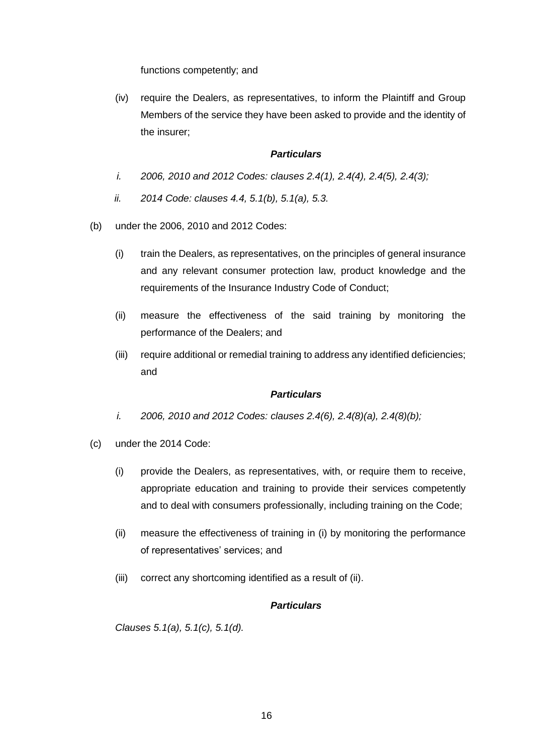functions competently; and

(iv) require the Dealers, as representatives, to inform the Plaintiff and Group Members of the service they have been asked to provide and the identity of the insurer;

#### *Particulars*

- *i. 2006, 2010 and 2012 Codes: clauses 2.4(1), 2.4(4), 2.4(5), 2.4(3);*
- *ii. 2014 Code: clauses 4.4, 5.1(b), 5.1(a), 5.3.*
- (b) under the 2006, 2010 and 2012 Codes:
	- (i) train the Dealers, as representatives, on the principles of general insurance and any relevant consumer protection law, product knowledge and the requirements of the Insurance Industry Code of Conduct;
	- (ii) measure the effectiveness of the said training by monitoring the performance of the Dealers; and
	- (iii) require additional or remedial training to address any identified deficiencies; and

#### *Particulars*

- *i. 2006, 2010 and 2012 Codes: clauses 2.4(6), 2.4(8)(a), 2.4(8)(b);*
- (c) under the 2014 Code:
	- (i) provide the Dealers, as representatives, with, or require them to receive, appropriate education and training to provide their services competently and to deal with consumers professionally, including training on the Code;
	- (ii) measure the effectiveness of training in (i) by monitoring the performance of representatives' services; and
	- (iii) correct any shortcoming identified as a result of (ii).

#### *Particulars*

*Clauses 5.1(a), 5.1(c), 5.1(d).*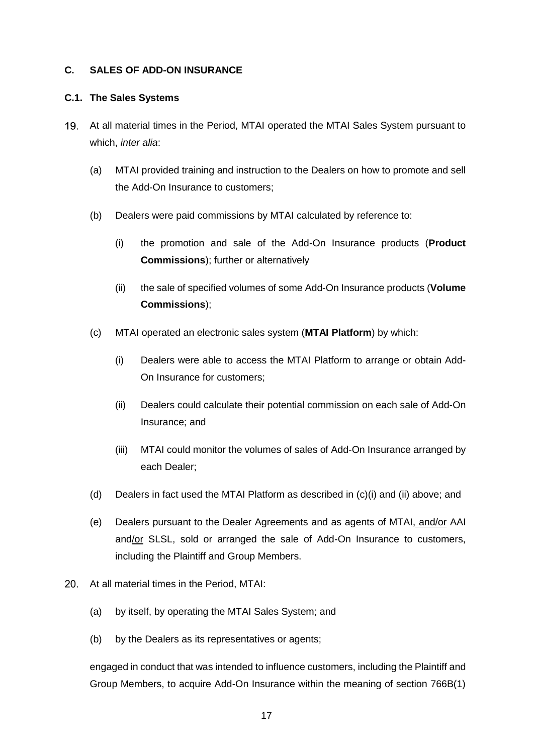#### <span id="page-16-0"></span>**C. SALES OF ADD-ON INSURANCE**

#### <span id="page-16-1"></span>**C.1. The Sales Systems**

- <span id="page-16-2"></span>At all material times in the Period, MTAI operated the MTAI Sales System pursuant to which, *inter alia*:
	- (a) MTAI provided training and instruction to the Dealers on how to promote and sell the Add-On Insurance to customers;
	- (b) Dealers were paid commissions by MTAI calculated by reference to:
		- (i) the promotion and sale of the Add-On Insurance products (**Product Commissions**); further or alternatively
		- (ii) the sale of specified volumes of some Add-On Insurance products (**Volume Commissions**);
	- (c) MTAI operated an electronic sales system (**MTAI Platform**) by which:
		- (i) Dealers were able to access the MTAI Platform to arrange or obtain Add-On Insurance for customers;
		- (ii) Dealers could calculate their potential commission on each sale of Add-On Insurance; and
		- (iii) MTAI could monitor the volumes of sales of Add-On Insurance arranged by each Dealer;
	- (d) Dealers in fact used the MTAI Platform as described in (c)(i) and (ii) above; and
	- (e) Dealers pursuant to the Dealer Agreements and as agents of MTAI<sub>7</sub> and/or AAI and/or SLSL, sold or arranged the sale of Add-On Insurance to customers, including the Plaintiff and Group Members.
- 20. At all material times in the Period, MTAI:
	- (a) by itself, by operating the MTAI Sales System; and
	- (b) by the Dealers as its representatives or agents;

engaged in conduct that was intended to influence customers, including the Plaintiff and Group Members, to acquire Add-On Insurance within the meaning of section 766B(1)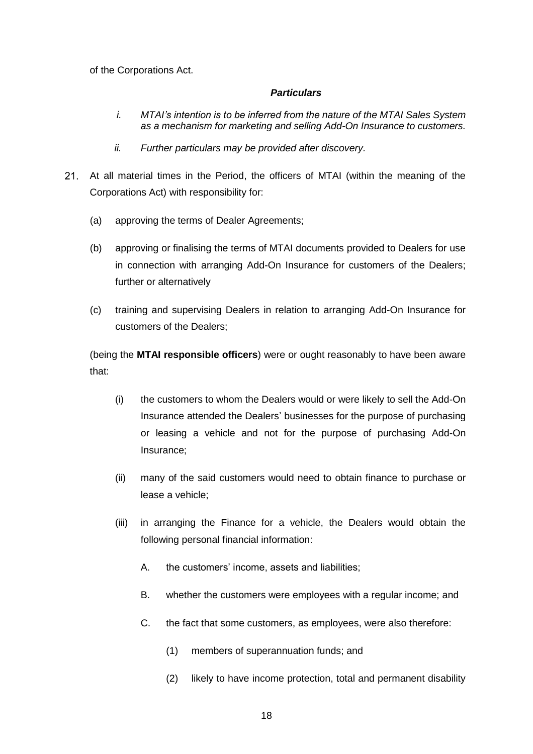of the Corporations Act.

#### *Particulars*

- *i. MTAI's intention is to be inferred from the nature of the MTAI Sales System as a mechanism for marketing and selling Add-On Insurance to customers.*
- *ii. Further particulars may be provided after discovery.*
- <span id="page-17-0"></span>At all material times in the Period, the officers of MTAI (within the meaning of the Corporations Act) with responsibility for:
	- (a) approving the terms of Dealer Agreements;
	- (b) approving or finalising the terms of MTAI documents provided to Dealers for use in connection with arranging Add-On Insurance for customers of the Dealers; further or alternatively
	- (c) training and supervising Dealers in relation to arranging Add-On Insurance for customers of the Dealers;

(being the **MTAI responsible officers**) were or ought reasonably to have been aware that:

- (i) the customers to whom the Dealers would or were likely to sell the Add-On Insurance attended the Dealers' businesses for the purpose of purchasing or leasing a vehicle and not for the purpose of purchasing Add-On Insurance;
- (ii) many of the said customers would need to obtain finance to purchase or lease a vehicle;
- (iii) in arranging the Finance for a vehicle, the Dealers would obtain the following personal financial information:
	- A. the customers' income, assets and liabilities;
	- B. whether the customers were employees with a regular income; and
	- C. the fact that some customers, as employees, were also therefore:
		- (1) members of superannuation funds; and
		- (2) likely to have income protection, total and permanent disability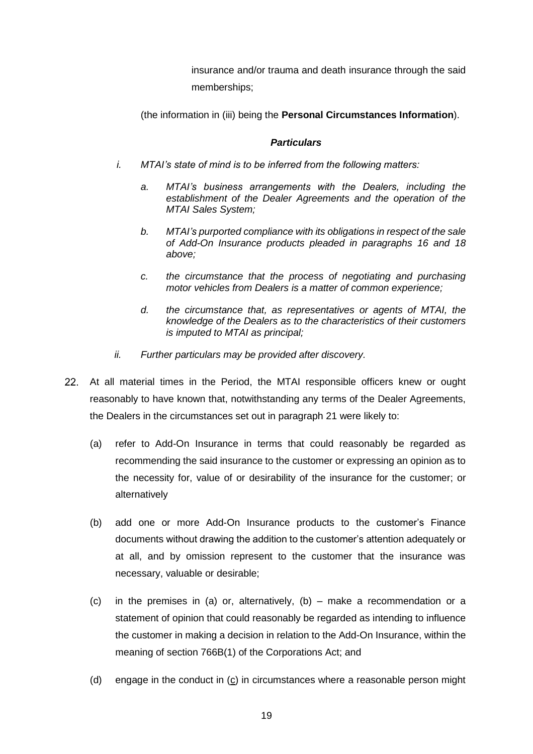insurance and/or trauma and death insurance through the said memberships;

(the information in (iii) being the **Personal Circumstances Information**).

### *Particulars*

- *i. MTAI's state of mind is to be inferred from the following matters:*
	- *a. MTAI's business arrangements with the Dealers, including the establishment of the Dealer Agreements and the operation of the MTAI Sales System;*
	- *b. MTAI's purported compliance with its obligations in respect of the sale of Add-On Insurance products pleaded in paragraphs 16 and [18](#page-14-0) above;*
	- *c. the circumstance that the process of negotiating and purchasing motor vehicles from Dealers is a matter of common experience;*
	- *d. the circumstance that, as representatives or agents of MTAI, the knowledge of the Dealers as to the characteristics of their customers is imputed to MTAI as principal;*
- *ii. Further particulars may be provided after discovery.*
- <span id="page-18-0"></span>At all material times in the Period, the MTAI responsible officers knew or ought reasonably to have known that, notwithstanding any terms of the Dealer Agreements, the Dealers in the circumstances set out in paragraph [21](#page-17-0) were likely to:
	- (a) refer to Add-On Insurance in terms that could reasonably be regarded as recommending the said insurance to the customer or expressing an opinion as to the necessity for, value of or desirability of the insurance for the customer; or alternatively
	- (b) add one or more Add-On Insurance products to the customer's Finance documents without drawing the addition to the customer's attention adequately or at all, and by omission represent to the customer that the insurance was necessary, valuable or desirable;
	- (c) in the premises in (a) or, alternatively, (b) make a recommendation or a statement of opinion that could reasonably be regarded as intending to influence the customer in making a decision in relation to the Add-On Insurance, within the meaning of section 766B(1) of the Corporations Act; and
	- (d) engage in the conduct in  $(c)$  in circumstances where a reasonable person might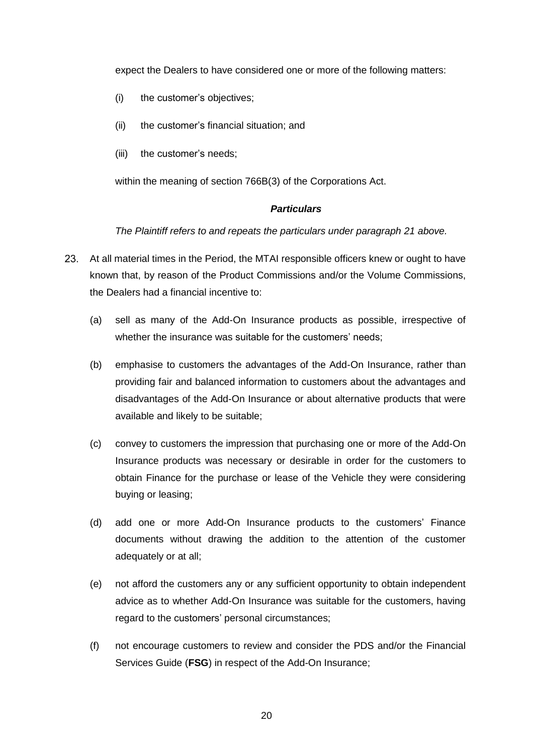expect the Dealers to have considered one or more of the following matters:

- (i) the customer's objectives;
- (ii) the customer's financial situation; and
- (iii) the customer's needs;

within the meaning of section 766B(3) of the Corporations Act.

#### *Particulars*

*The Plaintiff refers to and repeats the particulars under paragraph [21](#page-17-0) above.*

- <span id="page-19-0"></span>23. At all material times in the Period, the MTAI responsible officers knew or ought to have known that, by reason of the Product Commissions and/or the Volume Commissions, the Dealers had a financial incentive to:
	- (a) sell as many of the Add-On Insurance products as possible, irrespective of whether the insurance was suitable for the customers' needs;
	- (b) emphasise to customers the advantages of the Add-On Insurance, rather than providing fair and balanced information to customers about the advantages and disadvantages of the Add-On Insurance or about alternative products that were available and likely to be suitable;
	- (c) convey to customers the impression that purchasing one or more of the Add-On Insurance products was necessary or desirable in order for the customers to obtain Finance for the purchase or lease of the Vehicle they were considering buying or leasing;
	- (d) add one or more Add-On Insurance products to the customers' Finance documents without drawing the addition to the attention of the customer adequately or at all;
	- (e) not afford the customers any or any sufficient opportunity to obtain independent advice as to whether Add-On Insurance was suitable for the customers, having regard to the customers' personal circumstances;
	- (f) not encourage customers to review and consider the PDS and/or the Financial Services Guide (**FSG**) in respect of the Add-On Insurance;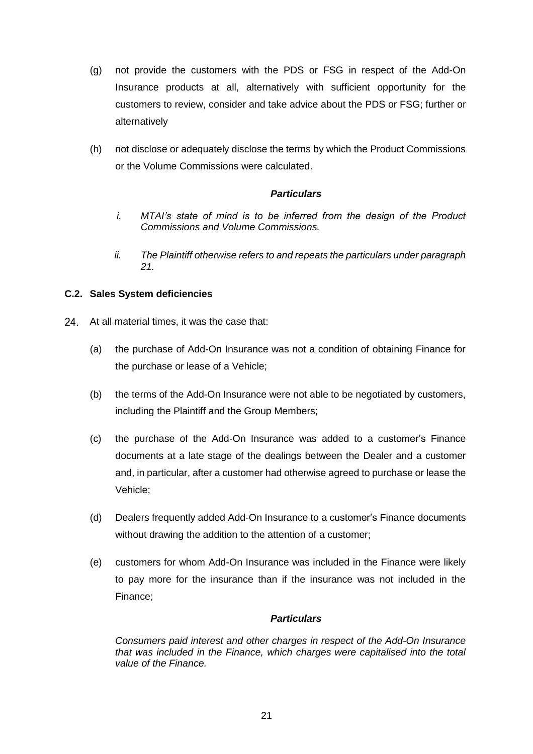- (g) not provide the customers with the PDS or FSG in respect of the Add-On Insurance products at all, alternatively with sufficient opportunity for the customers to review, consider and take advice about the PDS or FSG; further or alternatively
- (h) not disclose or adequately disclose the terms by which the Product Commissions or the Volume Commissions were calculated.

## *Particulars*

- *i. MTAI's state of mind is to be inferred from the design of the Product Commissions and Volume Commissions.*
- *ii. The Plaintiff otherwise refers to and repeats the particulars under paragraph [21.](#page-17-0)*

### <span id="page-20-0"></span>**C.2. Sales System deficiencies**

- 24. At all material times, it was the case that:
	- (a) the purchase of Add-On Insurance was not a condition of obtaining Finance for the purchase or lease of a Vehicle;
	- (b) the terms of the Add-On Insurance were not able to be negotiated by customers, including the Plaintiff and the Group Members;
	- (c) the purchase of the Add-On Insurance was added to a customer's Finance documents at a late stage of the dealings between the Dealer and a customer and, in particular, after a customer had otherwise agreed to purchase or lease the Vehicle;
	- (d) Dealers frequently added Add-On Insurance to a customer's Finance documents without drawing the addition to the attention of a customer;
	- (e) customers for whom Add-On Insurance was included in the Finance were likely to pay more for the insurance than if the insurance was not included in the Finance;

### *Particulars*

<span id="page-20-1"></span>*Consumers paid interest and other charges in respect of the Add-On Insurance that was included in the Finance, which charges were capitalised into the total value of the Finance.*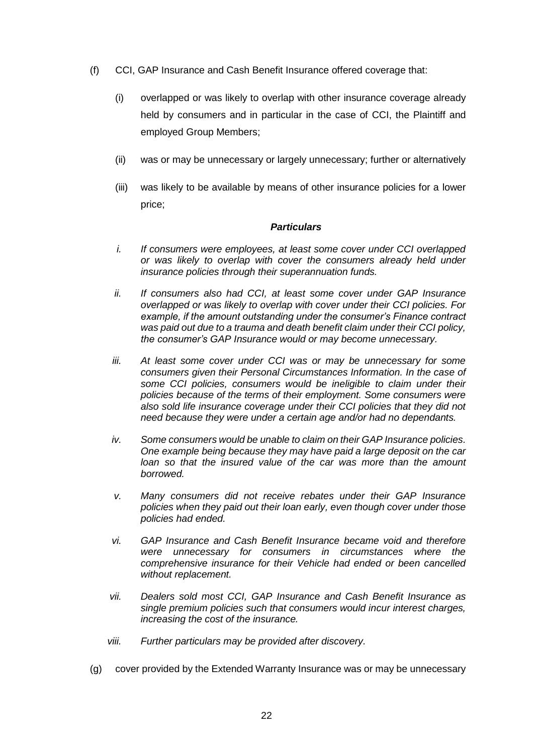- <span id="page-21-0"></span>(f) CCI, GAP Insurance and Cash Benefit Insurance offered coverage that:
	- (i) overlapped or was likely to overlap with other insurance coverage already held by consumers and in particular in the case of CCI, the Plaintiff and employed Group Members;
	- (ii) was or may be unnecessary or largely unnecessary; further or alternatively
	- (iii) was likely to be available by means of other insurance policies for a lower price;

#### *Particulars*

- *i. If consumers were employees, at least some cover under CCI overlapped or was likely to overlap with cover the consumers already held under insurance policies through their superannuation funds.*
- *ii. If consumers also had CCI, at least some cover under GAP Insurance overlapped or was likely to overlap with cover under their CCI policies. For example, if the amount outstanding under the consumer's Finance contract was paid out due to a trauma and death benefit claim under their CCI policy, the consumer's GAP Insurance would or may become unnecessary.*
- *iii. At least some cover under CCI was or may be unnecessary for some consumers given their Personal Circumstances Information. In the case of some CCI policies, consumers would be ineligible to claim under their policies because of the terms of their employment. Some consumers were also sold life insurance coverage under their CCI policies that they did not need because they were under a certain age and/or had no dependants.*
- *iv. Some consumers would be unable to claim on their GAP Insurance policies. One example being because they may have paid a large deposit on the car loan so that the insured value of the car was more than the amount borrowed.*
- *v. Many consumers did not receive rebates under their GAP Insurance policies when they paid out their loan early, even though cover under those policies had ended.*
- *vi. GAP Insurance and Cash Benefit Insurance became void and therefore were unnecessary for consumers in circumstances where the comprehensive insurance for their Vehicle had ended or been cancelled without replacement.*
- *vii. Dealers sold most CCI, GAP Insurance and Cash Benefit Insurance as single premium policies such that consumers would incur interest charges, increasing the cost of the insurance.*
- *viii. Further particulars may be provided after discovery.*
- <span id="page-21-1"></span>(g) cover provided by the Extended Warranty Insurance was or may be unnecessary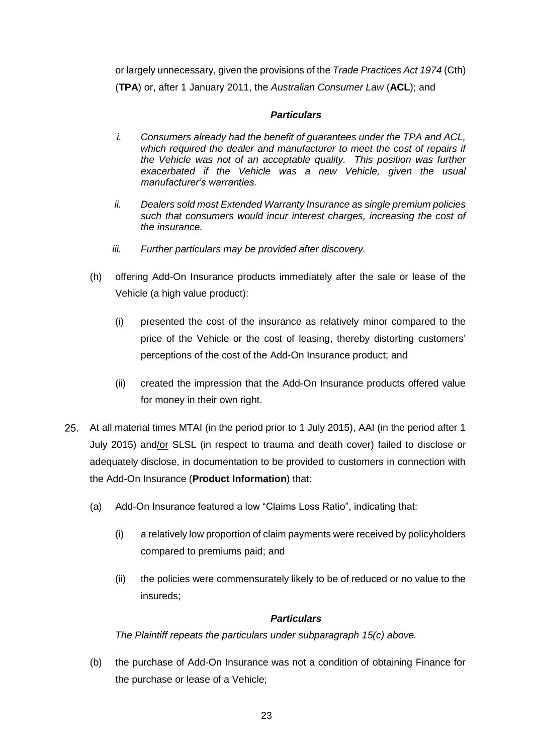or largely unnecessary, given the provisions of the *Trade Practices Act 1974* (Cth) (**TPA**) or, after 1 January 2011, the *Australian Consumer Law* (**ACL**); and

## *Particulars*

- *i. Consumers already had the benefit of guarantees under the TPA and ACL, which required the dealer and manufacturer to meet the cost of repairs if the Vehicle was not of an acceptable quality. This position was further exacerbated if the Vehicle was a new Vehicle, given the usual manufacturer's warranties.*
- *ii. Dealers sold most Extended Warranty Insurance as single premium policies such that consumers would incur interest charges, increasing the cost of the insurance.*
- *iii. Further particulars may be provided after discovery.*
- (h) offering Add-On Insurance products immediately after the sale or lease of the Vehicle (a high value product):
	- (i) presented the cost of the insurance as relatively minor compared to the price of the Vehicle or the cost of leasing, thereby distorting customers' perceptions of the cost of the Add-On Insurance product; and
	- (ii) created the impression that the Add-On Insurance products offered value for money in their own right.
- <span id="page-22-0"></span>25. At all material times MTAI (in the period prior to 1 July 2015), AAI (in the period after 1 July 2015) and/or SLSL (in respect to trauma and death cover) failed to disclose or adequately disclose, in documentation to be provided to customers in connection with the Add-On Insurance (**Product Information**) that:
	- (a) Add-On Insurance featured a low "Claims Loss Ratio", indicating that:
		- (i) a relatively low proportion of claim payments were received by policyholders compared to premiums paid; and
		- (ii) the policies were commensurately likely to be of reduced or no value to the insureds;

### *Particulars*

*The Plaintiff repeats the particulars under subparagraph [15\(c\)](#page-12-0) above.*

(b) the purchase of Add-On Insurance was not a condition of obtaining Finance for the purchase or lease of a Vehicle;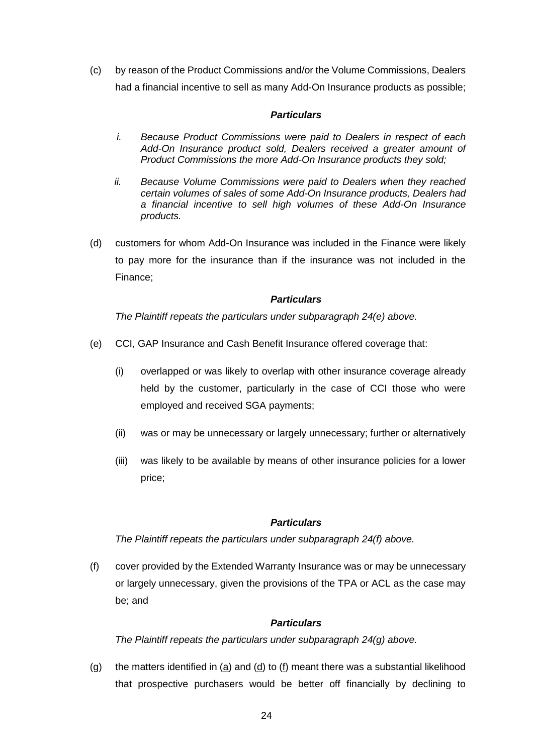(c) by reason of the Product Commissions and/or the Volume Commissions, Dealers had a financial incentive to sell as many Add-On Insurance products as possible;

### *Particulars*

- *i. Because Product Commissions were paid to Dealers in respect of each Add-On Insurance product sold, Dealers received a greater amount of Product Commissions the more Add-On Insurance products they sold;*
- *ii. Because Volume Commissions were paid to Dealers when they reached certain volumes of sales of some Add-On Insurance products, Dealers had a financial incentive to sell high volumes of these Add-On Insurance products.*
- (d) customers for whom Add-On Insurance was included in the Finance were likely to pay more for the insurance than if the insurance was not included in the Finance;

### *Particulars*

*The Plaintiff repeats the particulars under subparagraph [24\(e\)](#page-20-1) above.*

- (e) CCI, GAP Insurance and Cash Benefit Insurance offered coverage that:
	- (i) overlapped or was likely to overlap with other insurance coverage already held by the customer, particularly in the case of CCI those who were employed and received SGA payments;
	- (ii) was or may be unnecessary or largely unnecessary; further or alternatively
	- (iii) was likely to be available by means of other insurance policies for a lower price;

### *Particulars*

*The Plaintiff repeats the particulars under subparagraph [24\(f\)](#page-21-0) above.*

(f) cover provided by the Extended Warranty Insurance was or may be unnecessary or largely unnecessary, given the provisions of the TPA or ACL as the case may be; and

### *Particulars*

*The Plaintiff repeats the particulars under subparagraph [24\(g\)](#page-21-1) above.*

(g) the matters identified in ( $\underline{a}$ ) and ( $\underline{d}$ ) to (f) meant there was a substantial likelihood that prospective purchasers would be better off financially by declining to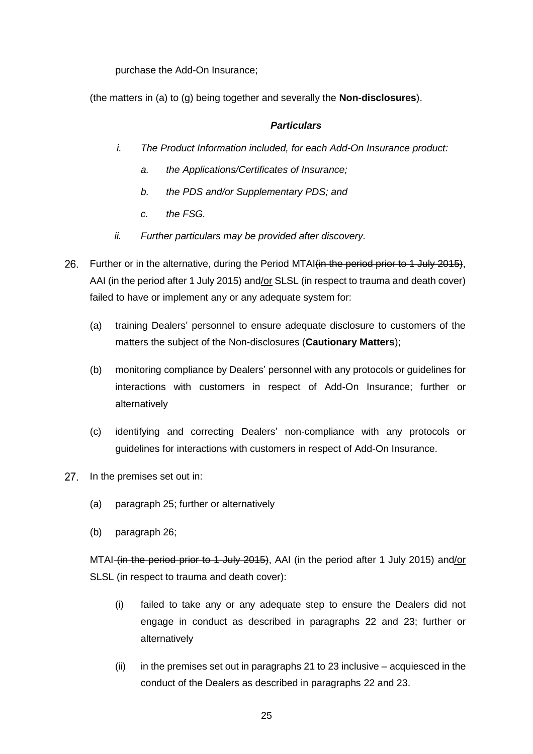purchase the Add-On Insurance;

(the matters in (a) to (g) being together and severally the **Non-disclosures**).

#### <span id="page-24-1"></span>*Particulars*

- *i. The Product Information included, for each Add-On Insurance product:*
	- *a. the Applications/Certificates of Insurance;*
	- *b. the PDS and/or Supplementary PDS; and*
	- *c. the FSG.*
- *ii. Further particulars may be provided after discovery.*
- <span id="page-24-0"></span>26. Further or in the alternative, during the Period MTAI (in the period prior to 1 July 2015). AAI (in the period after 1 July 2015) and/or SLSL (in respect to trauma and death cover) failed to have or implement any or any adequate system for:
	- (a) training Dealers' personnel to ensure adequate disclosure to customers of the matters the subject of the Non-disclosures (**Cautionary Matters**);
	- (b) monitoring compliance by Dealers' personnel with any protocols or guidelines for interactions with customers in respect of Add-On Insurance; further or alternatively
	- (c) identifying and correcting Dealers' non-compliance with any protocols or guidelines for interactions with customers in respect of Add-On Insurance.
- <span id="page-24-2"></span> $27.$ In the premises set out in:
	- (a) paragraph [25;](#page-22-0) further or alternatively
	- (b) paragraph [26;](#page-24-1)

MTAI (in the period prior to 1 July 2015), AAI (in the period after 1 July 2015) and/or SLSL (in respect to trauma and death cover):

- (i) failed to take any or any adequate step to ensure the Dealers did not engage in conduct as described in paragraphs [22](#page-18-0) and [23;](#page-19-0) further or alternatively
- $(i)$  in the premises set out in paragraphs [21](#page-17-0) to [23](#page-19-0) inclusive acquiesced in the conduct of the Dealers as described in paragraphs [22](#page-18-0) and [23.](#page-19-0)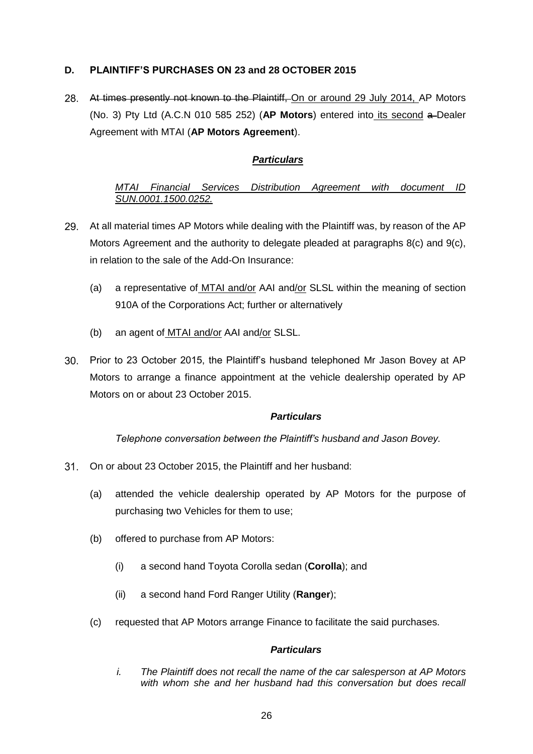## <span id="page-25-0"></span>**D. PLAINTIFF'S PURCHASES ON 23 and 28 OCTOBER 2015**

28. At times presently not known to the Plaintiff, On or around 29 July 2014, AP Motors (No. 3) Pty Ltd (A.C.N 010 585 252) (**AP Motors**) entered into its second a Dealer Agreement with MTAI (**AP Motors Agreement**).

## *Particulars*

## *MTAI Financial Services Distribution Agreement with document ID SUN.0001.1500.0252.*

- At all material times AP Motors while dealing with the Plaintiff was, by reason of the AP Motors Agreement and the authority to delegate pleaded at paragraphs 8(c) and 9(c), in relation to the sale of the Add-On Insurance:
	- (a) a representative of MTAI and/or AAI and/or SLSL within the meaning of section 910A of the Corporations Act; further or alternatively
	- (b) an agent of MTAI and/or AAI and/or SLSL.
- Prior to 23 October 2015, the Plaintiff's husband telephoned Mr Jason Bovey at AP Motors to arrange a finance appointment at the vehicle dealership operated by AP Motors on or about 23 October 2015.

### *Particulars*

*Telephone conversation between the Plaintiff's husband and Jason Bovey.* 

- <span id="page-25-1"></span>On or about 23 October 2015, the Plaintiff and her husband:
	- (a) attended the vehicle dealership operated by AP Motors for the purpose of purchasing two Vehicles for them to use;
	- (b) offered to purchase from AP Motors:
		- (i) a second hand Toyota Corolla sedan (**Corolla**); and
		- (ii) a second hand Ford Ranger Utility (**Ranger**);
	- (c) requested that AP Motors arrange Finance to facilitate the said purchases.

### *Particulars*

<span id="page-25-2"></span>*i. The Plaintiff does not recall the name of the car salesperson at AP Motors with whom she and her husband had this conversation but does recall*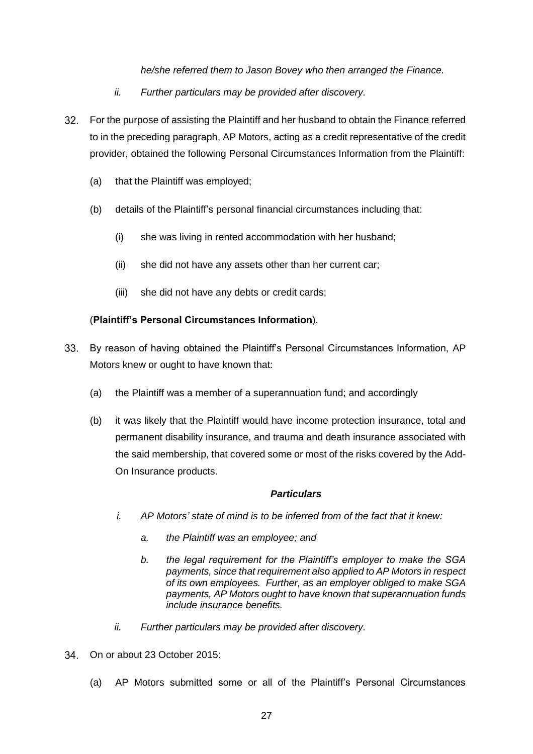*he/she referred them to Jason Bovey who then arranged the Finance.* 

- *ii. Further particulars may be provided after discovery.*
- <span id="page-26-1"></span>For the purpose of assisting the Plaintiff and her husband to obtain the Finance referred to in the preceding paragraph, AP Motors, acting as a credit representative of the credit provider, obtained the following Personal Circumstances Information from the Plaintiff:
	- (a) that the Plaintiff was employed;
	- (b) details of the Plaintiff's personal financial circumstances including that:
		- (i) she was living in rented accommodation with her husband;
		- (ii) she did not have any assets other than her current car;
		- (iii) she did not have any debts or credit cards;

### (**Plaintiff's Personal Circumstances Information**).

- <span id="page-26-2"></span>33. By reason of having obtained the Plaintiff's Personal Circumstances Information, AP Motors knew or ought to have known that:
	- (a) the Plaintiff was a member of a superannuation fund; and accordingly
	- (b) it was likely that the Plaintiff would have income protection insurance, total and permanent disability insurance, and trauma and death insurance associated with the said membership, that covered some or most of the risks covered by the Add-On Insurance products.

### *Particulars*

- *i. AP Motors' state of mind is to be inferred from of the fact that it knew:*
	- *a. the Plaintiff was an employee; and*
	- *b. the legal requirement for the Plaintiff's employer to make the SGA payments, since that requirement also applied to AP Motors in respect of its own employees. Further, as an employer obliged to make SGA payments, AP Motors ought to have known that superannuation funds include insurance benefits.*
- *ii. Further particulars may be provided after discovery.*
- <span id="page-26-0"></span>On or about 23 October 2015:
	- (a) AP Motors submitted some or all of the Plaintiff's Personal Circumstances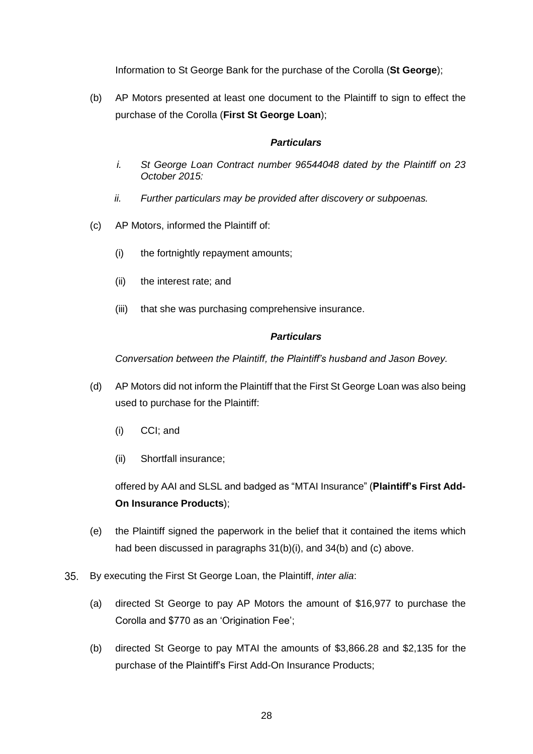Information to St George Bank for the purchase of the Corolla (**St George**);

(b) AP Motors presented at least one document to the Plaintiff to sign to effect the purchase of the Corolla (**First St George Loan**);

#### *Particulars*

- *i. St George Loan Contract number 96544048 dated by the Plaintiff on 23 October 2015:*
- *ii. Further particulars may be provided after discovery or subpoenas.*
- (c) AP Motors, informed the Plaintiff of:
	- (i) the fortnightly repayment amounts;
	- (ii) the interest rate; and
	- (iii) that she was purchasing comprehensive insurance.

### *Particulars*

*Conversation between the Plaintiff, the Plaintiff's husband and Jason Bovey.*

- (d) AP Motors did not inform the Plaintiff that the First St George Loan was also being used to purchase for the Plaintiff:
	- (i) CCI; and
	- (ii) Shortfall insurance;

offered by AAI and SLSL and badged as "MTAI Insurance" (**Plaintiff's First Add-On Insurance Products**);

- (e) the Plaintiff signed the paperwork in the belief that it contained the items which had been discussed in paragraphs [31\(b\)\(i\),](#page-25-1) and [34\(](#page-26-0)b) and (c) above.
- $35.$ By executing the First St George Loan, the Plaintiff, *inter alia*:
	- (a) directed St George to pay AP Motors the amount of \$16,977 to purchase the Corolla and \$770 as an 'Origination Fee';
	- (b) directed St George to pay MTAI the amounts of \$3,866.28 and \$2,135 for the purchase of the Plaintiff's First Add-On Insurance Products;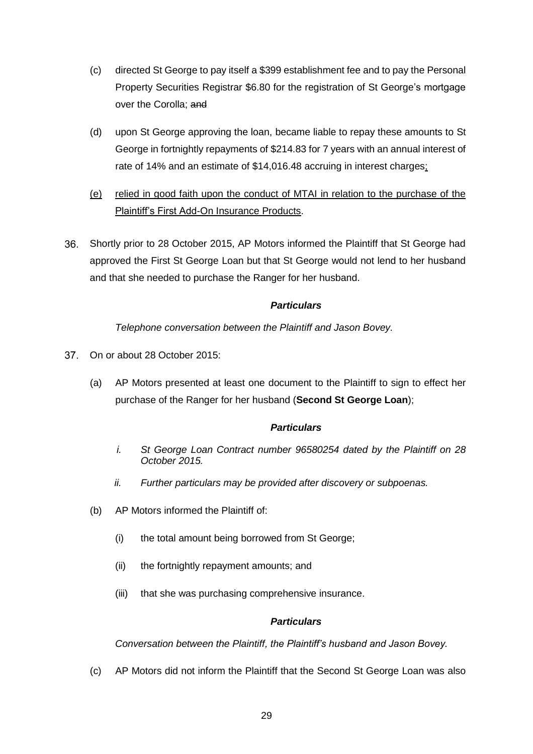- (c) directed St George to pay itself a \$399 establishment fee and to pay the Personal Property Securities Registrar \$6.80 for the registration of St George's mortgage over the Corolla; and
- (d) upon St George approving the loan, became liable to repay these amounts to St George in fortnightly repayments of \$214.83 for 7 years with an annual interest of rate of 14% and an estimate of \$14,016.48 accruing in interest charges;
- (e) relied in good faith upon the conduct of MTAI in relation to the purchase of the Plaintiff's First Add-On Insurance Products.
- $36.$ Shortly prior to 28 October 2015, AP Motors informed the Plaintiff that St George had approved the First St George Loan but that St George would not lend to her husband and that she needed to purchase the Ranger for her husband.

### *Particulars*

*Telephone conversation between the Plaintiff and Jason Bovey.*

- <span id="page-28-0"></span>37. On or about 28 October 2015:
	- (a) AP Motors presented at least one document to the Plaintiff to sign to effect her purchase of the Ranger for her husband (**Second St George Loan**);

### *Particulars*

- *i. St George Loan Contract number 96580254 dated by the Plaintiff on 28 October 2015.*
- *ii. Further particulars may be provided after discovery or subpoenas.*
- <span id="page-28-1"></span>(b) AP Motors informed the Plaintiff of:
	- (i) the total amount being borrowed from St George;
	- (ii) the fortnightly repayment amounts; and
	- (iii) that she was purchasing comprehensive insurance.

### *Particulars*

*Conversation between the Plaintiff, the Plaintiff's husband and Jason Bovey.*

(c) AP Motors did not inform the Plaintiff that the Second St George Loan was also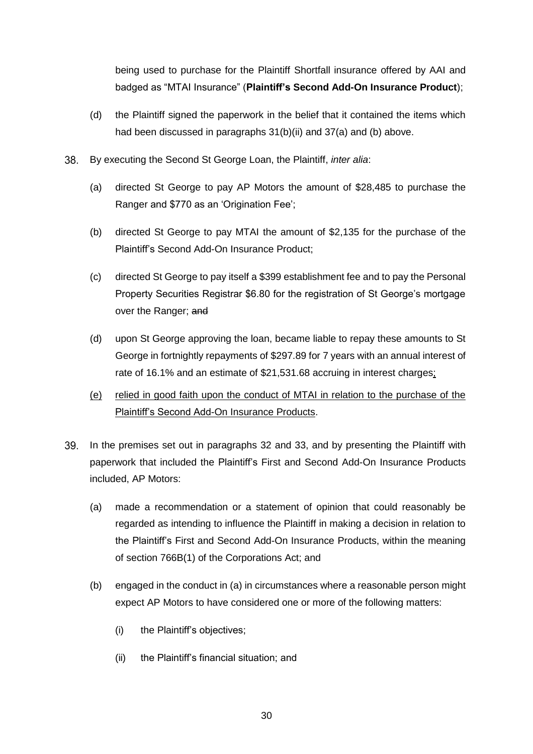being used to purchase for the Plaintiff Shortfall insurance offered by AAI and badged as "MTAI Insurance" (**Plaintiff's Second Add-On Insurance Product**);

- (d) the Plaintiff signed the paperwork in the belief that it contained the items which had been discussed in paragraphs [31\(b\)\(ii\)](#page-25-2) and [37\(a\)](#page-28-0) and [\(b\)](#page-28-1) above.
- 38. By executing the Second St George Loan, the Plaintiff, *inter alia*:
	- (a) directed St George to pay AP Motors the amount of \$28,485 to purchase the Ranger and \$770 as an 'Origination Fee';
	- (b) directed St George to pay MTAI the amount of \$2,135 for the purchase of the Plaintiff's Second Add-On Insurance Product;
	- (c) directed St George to pay itself a \$399 establishment fee and to pay the Personal Property Securities Registrar \$6.80 for the registration of St George's mortgage over the Ranger; and
	- (d) upon St George approving the loan, became liable to repay these amounts to St George in fortnightly repayments of \$297.89 for 7 years with an annual interest of rate of 16.1% and an estimate of \$21,531.68 accruing in interest charges;
	- (e) relied in good faith upon the conduct of MTAI in relation to the purchase of the Plaintiff's Second Add-On Insurance Products.
- <span id="page-29-0"></span>In the premises set out in paragraphs [32](#page-26-1) and [33,](#page-26-2) and by presenting the Plaintiff with paperwork that included the Plaintiff's First and Second Add-On Insurance Products included, AP Motors:
	- (a) made a recommendation or a statement of opinion that could reasonably be regarded as intending to influence the Plaintiff in making a decision in relation to the Plaintiff's First and Second Add-On Insurance Products, within the meaning of section 766B(1) of the Corporations Act; and
	- (b) engaged in the conduct in (a) in circumstances where a reasonable person might expect AP Motors to have considered one or more of the following matters:
		- (i) the Plaintiff's objectives;
		- (ii) the Plaintiff's financial situation; and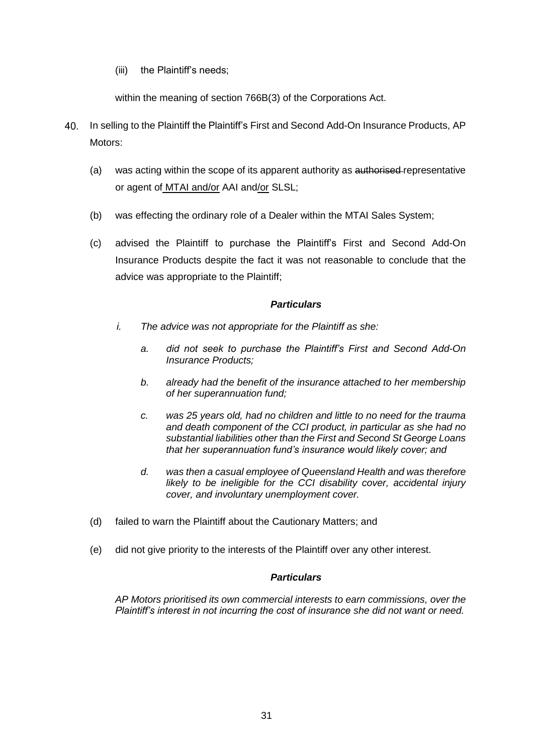(iii) the Plaintiff's needs;

within the meaning of section 766B(3) of the Corporations Act.

- <span id="page-30-0"></span>In selling to the Plaintiff the Plaintiff's First and Second Add-On Insurance Products, AP 40. Motors:
	- (a) was acting within the scope of its apparent authority as authorised-representative or agent of MTAI and/or AAI and/or SLSL;
	- (b) was effecting the ordinary role of a Dealer within the MTAI Sales System;
	- (c) advised the Plaintiff to purchase the Plaintiff's First and Second Add-On Insurance Products despite the fact it was not reasonable to conclude that the advice was appropriate to the Plaintiff;

### *Particulars*

- *i. The advice was not appropriate for the Plaintiff as she:*
	- *a. did not seek to purchase the Plaintiff's First and Second Add-On Insurance Products;*
	- *b. already had the benefit of the insurance attached to her membership of her superannuation fund;*
	- *c. was 25 years old, had no children and little to no need for the trauma and death component of the CCI product, in particular as she had no substantial liabilities other than the First and Second St George Loans that her superannuation fund's insurance would likely cover; and*
	- *d. was then a casual employee of Queensland Health and was therefore likely to be ineligible for the CCI disability cover, accidental injury cover, and involuntary unemployment cover.*
- (d) failed to warn the Plaintiff about the Cautionary Matters; and
- (e) did not give priority to the interests of the Plaintiff over any other interest.

### *Particulars*

*AP Motors prioritised its own commercial interests to earn commissions, over the Plaintiff's interest in not incurring the cost of insurance she did not want or need.*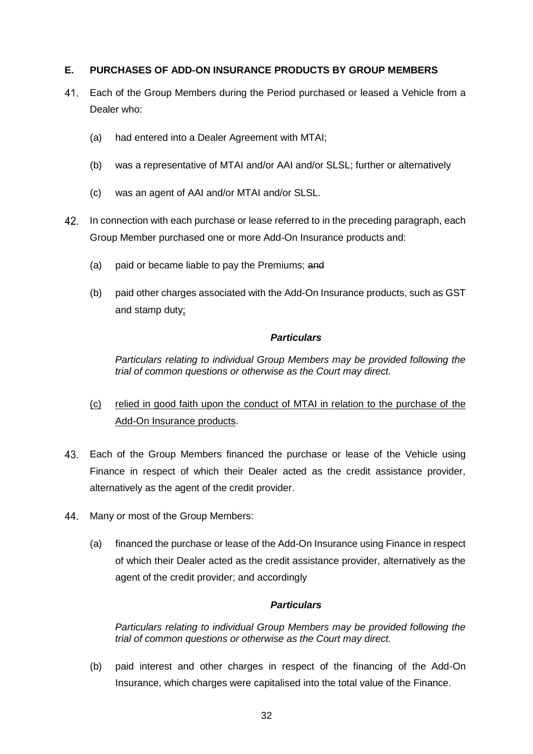### <span id="page-31-0"></span>**E. PURCHASES OF ADD-ON INSURANCE PRODUCTS BY GROUP MEMBERS**

- Each of the Group Members during the Period purchased or leased a Vehicle from a 41. Dealer who:
	- (a) had entered into a Dealer Agreement with MTAI;
	- (b) was a representative of MTAI and/or AAI and/or SLSL; further or alternatively
	- (c) was an agent of AAI and/or MTAI and/or SLSL.
- 42. In connection with each purchase or lease referred to in the preceding paragraph, each Group Member purchased one or more Add-On Insurance products and:
	- (a) paid or became liable to pay the Premiums; and
	- (b) paid other charges associated with the Add-On Insurance products, such as GST and stamp duty;

### *Particulars*

*Particulars relating to individual Group Members may be provided following the trial of common questions or otherwise as the Court may direct.*

- (c) relied in good faith upon the conduct of MTAI in relation to the purchase of the Add-On Insurance products.
- 43. Each of the Group Members financed the purchase or lease of the Vehicle using Finance in respect of which their Dealer acted as the credit assistance provider, alternatively as the agent of the credit provider.
- <span id="page-31-1"></span>44 Many or most of the Group Members:
	- (a) financed the purchase or lease of the Add-On Insurance using Finance in respect of which their Dealer acted as the credit assistance provider, alternatively as the agent of the credit provider; and accordingly

### *Particulars*

*Particulars relating to individual Group Members may be provided following the trial of common questions or otherwise as the Court may direct.*

(b) paid interest and other charges in respect of the financing of the Add-On Insurance, which charges were capitalised into the total value of the Finance.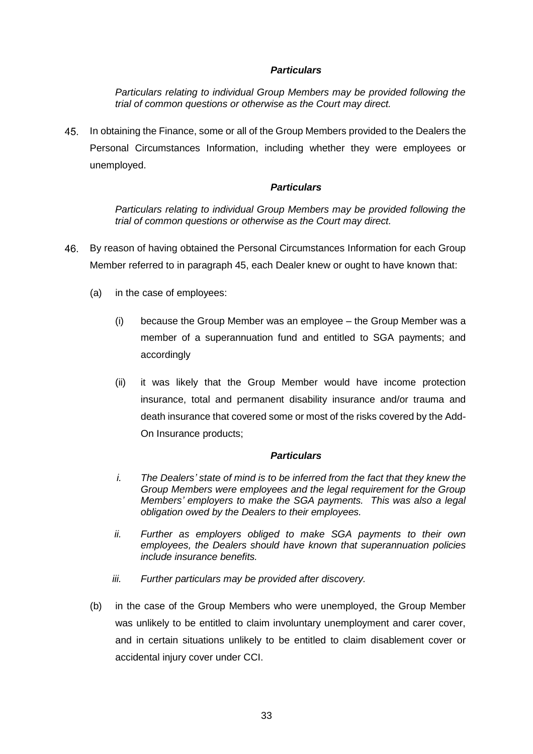#### *Particulars*

*Particulars relating to individual Group Members may be provided following the trial of common questions or otherwise as the Court may direct.*

<span id="page-32-0"></span>In obtaining the Finance, some or all of the Group Members provided to the Dealers the Personal Circumstances Information, including whether they were employees or unemployed.

#### *Particulars*

*Particulars relating to individual Group Members may be provided following the trial of common questions or otherwise as the Court may direct.*

- <span id="page-32-1"></span>By reason of having obtained the Personal Circumstances Information for each Group Member referred to in paragraph [45,](#page-32-0) each Dealer knew or ought to have known that:
	- (a) in the case of employees:
		- (i) because the Group Member was an employee the Group Member was a member of a superannuation fund and entitled to SGA payments; and accordingly
		- (ii) it was likely that the Group Member would have income protection insurance, total and permanent disability insurance and/or trauma and death insurance that covered some or most of the risks covered by the Add-On Insurance products;

#### *Particulars*

- *i. The Dealers' state of mind is to be inferred from the fact that they knew the Group Members were employees and the legal requirement for the Group Members' employers to make the SGA payments. This was also a legal obligation owed by the Dealers to their employees.*
- *ii. Further as employers obliged to make SGA payments to their own employees, the Dealers should have known that superannuation policies include insurance benefits.*
- *iii. Further particulars may be provided after discovery.*
- (b) in the case of the Group Members who were unemployed, the Group Member was unlikely to be entitled to claim involuntary unemployment and carer cover, and in certain situations unlikely to be entitled to claim disablement cover or accidental injury cover under CCI.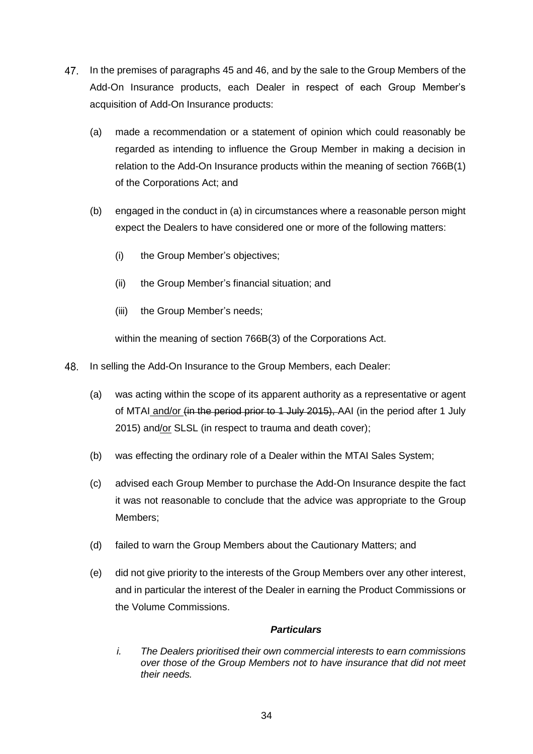- <span id="page-33-0"></span>47. In the premises of paragraphs [45](#page-32-0) and [46,](#page-32-1) and by the sale to the Group Members of the Add-On Insurance products, each Dealer in respect of each Group Member's acquisition of Add-On Insurance products:
	- (a) made a recommendation or a statement of opinion which could reasonably be regarded as intending to influence the Group Member in making a decision in relation to the Add-On Insurance products within the meaning of section 766B(1) of the Corporations Act; and
	- (b) engaged in the conduct in (a) in circumstances where a reasonable person might expect the Dealers to have considered one or more of the following matters:
		- (i) the Group Member's objectives;
		- (ii) the Group Member's financial situation; and
		- (iii) the Group Member's needs;

within the meaning of section 766B(3) of the Corporations Act.

- <span id="page-33-1"></span>48. In selling the Add-On Insurance to the Group Members, each Dealer:
	- (a) was acting within the scope of its apparent authority as a representative or agent of MTAI and/or (in the period prior to 1 July 2015), AAI (in the period after 1 July 2015) and/or SLSL (in respect to trauma and death cover);
	- (b) was effecting the ordinary role of a Dealer within the MTAI Sales System;
	- (c) advised each Group Member to purchase the Add-On Insurance despite the fact it was not reasonable to conclude that the advice was appropriate to the Group Members;
	- (d) failed to warn the Group Members about the Cautionary Matters; and
	- (e) did not give priority to the interests of the Group Members over any other interest, and in particular the interest of the Dealer in earning the Product Commissions or the Volume Commissions.

### *Particulars*

*i. The Dealers prioritised their own commercial interests to earn commissions over those of the Group Members not to have insurance that did not meet their needs.*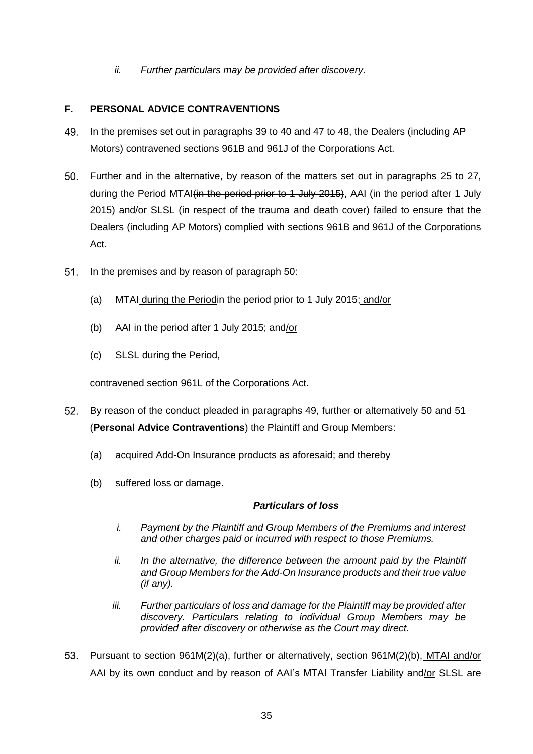*ii. Further particulars may be provided after discovery.*

## <span id="page-34-0"></span>**F. PERSONAL ADVICE CONTRAVENTIONS**

- <span id="page-34-2"></span>49. In the premises set out in paragraphs [39](#page-29-0) to [40](#page-30-0) and [47](#page-33-0) to [48,](#page-33-1) the Dealers (including AP Motors) contravened sections 961B and 961J of the Corporations Act.
- <span id="page-34-1"></span> $50<sub>1</sub>$ Further and in the alternative, by reason of the matters set out in paragraphs [25](#page-22-0) to [27,](#page-24-2) during the Period MTAI(in the period prior to 1 July 2015). AAI (in the period after 1 July 2015) and/or SLSL (in respect of the trauma and death cover) failed to ensure that the Dealers (including AP Motors) complied with sections 961B and 961J of the Corporations Act.
- <span id="page-34-3"></span> $51<sub>1</sub>$ In the premises and by reason of paragraph [50:](#page-34-1)
	- (a) MTAI during the Periodin the period prior to 1 July 2015; and/or
	- (b) AAI in the period after 1 July 2015; and/or
	- (c) SLSL during the Period,

contravened section 961L of the Corporations Act.

- <span id="page-34-4"></span>By reason of the conduct pleaded in paragraphs [49,](#page-34-2) further or alternatively [50](#page-34-1) and [51](#page-34-3) (**Personal Advice Contraventions**) the Plaintiff and Group Members:
	- (a) acquired Add-On Insurance products as aforesaid; and thereby
	- (b) suffered loss or damage.

### *Particulars of loss*

- *i. Payment by the Plaintiff and Group Members of the Premiums and interest and other charges paid or incurred with respect to those Premiums.*
- *ii. In the alternative, the difference between the amount paid by the Plaintiff and Group Members for the Add-On Insurance products and their true value (if any).*
- *iii. Further particulars of loss and damage for the Plaintiff may be provided after discovery. Particulars relating to individual Group Members may be provided after discovery or otherwise as the Court may direct.*
- <span id="page-34-5"></span>Pursuant to section 961M(2)(a), further or alternatively, section 961M(2)(b), MTAI and/or AAI by its own conduct and by reason of AAI's MTAI Transfer Liability and/or SLSL are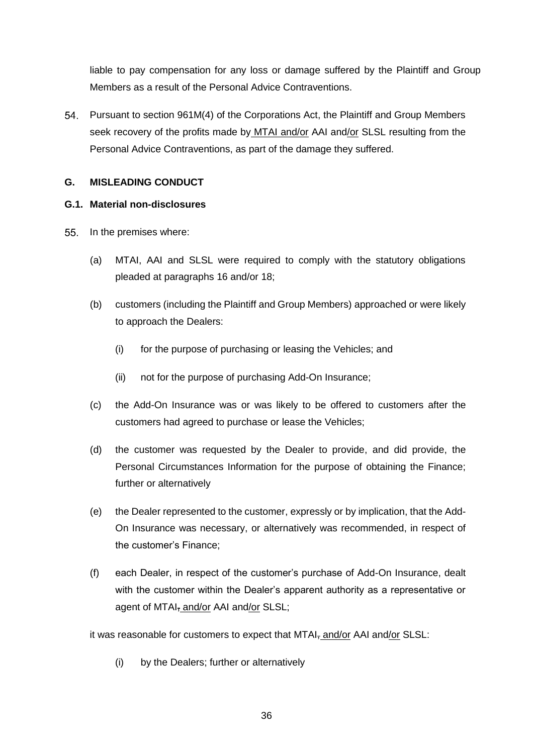liable to pay compensation for any loss or damage suffered by the Plaintiff and Group Members as a result of the Personal Advice Contraventions.

54. Pursuant to section 961M(4) of the Corporations Act, the Plaintiff and Group Members seek recovery of the profits made by MTAI and/or AAI and/or SLSL resulting from the Personal Advice Contraventions, as part of the damage they suffered.

## <span id="page-35-0"></span>**G. MISLEADING CONDUCT**

### <span id="page-35-1"></span>**G.1. Material non-disclosures**

- <span id="page-35-2"></span> $55.$ In the premises where:
	- (a) MTAI, AAI and SLSL were required to comply with the statutory obligations pleaded at paragraphs 16 and/or [18;](#page-14-0)
	- (b) customers (including the Plaintiff and Group Members) approached or were likely to approach the Dealers:
		- (i) for the purpose of purchasing or leasing the Vehicles; and
		- (ii) not for the purpose of purchasing Add-On Insurance;
	- (c) the Add-On Insurance was or was likely to be offered to customers after the customers had agreed to purchase or lease the Vehicles;
	- (d) the customer was requested by the Dealer to provide, and did provide, the Personal Circumstances Information for the purpose of obtaining the Finance; further or alternatively
	- (e) the Dealer represented to the customer, expressly or by implication, that the Add-On Insurance was necessary, or alternatively was recommended, in respect of the customer's Finance;
	- (f) each Dealer, in respect of the customer's purchase of Add-On Insurance, dealt with the customer within the Dealer's apparent authority as a representative or agent of MTAI, and/or AAI and/or SLSL;

it was reasonable for customers to expect that MTAI, and/or AAI and/or SLSL:

(i) by the Dealers; further or alternatively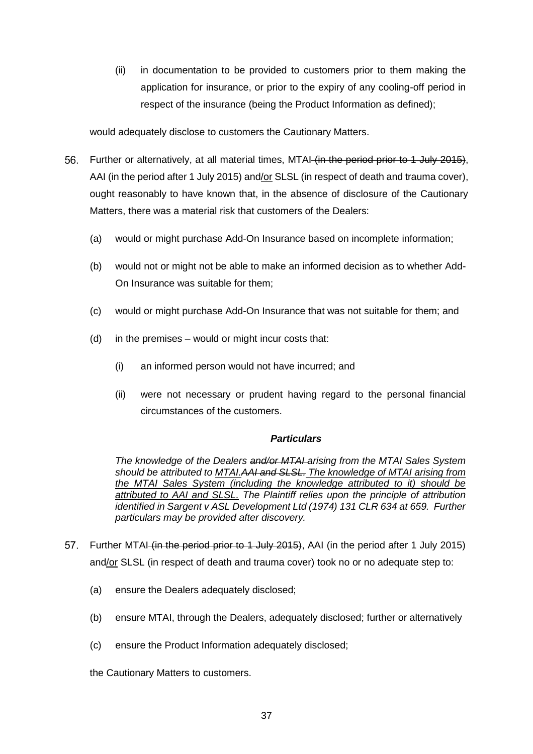(ii) in documentation to be provided to customers prior to them making the application for insurance, or prior to the expiry of any cooling-off period in respect of the insurance (being the Product Information as defined);

would adequately disclose to customers the Cautionary Matters.

- <span id="page-36-1"></span>56. Further or alternatively, at all material times, MTAI (in the period prior to 1 July 2015), AAI (in the period after 1 July 2015) and/or SLSL (in respect of death and trauma cover), ought reasonably to have known that, in the absence of disclosure of the Cautionary Matters, there was a material risk that customers of the Dealers:
	- (a) would or might purchase Add-On Insurance based on incomplete information;
	- (b) would not or might not be able to make an informed decision as to whether Add-On Insurance was suitable for them;
	- (c) would or might purchase Add-On Insurance that was not suitable for them; and
	- (d) in the premises would or might incur costs that:
		- (i) an informed person would not have incurred; and
		- (ii) were not necessary or prudent having regard to the personal financial circumstances of the customers.

### *Particulars*

*The knowledge of the Dealers and/or MTAI arising from the MTAI Sales System should be attributed to MTAI.AAI and SLSL. The knowledge of MTAI arising from the MTAI Sales System (including the knowledge attributed to it) should be attributed to AAI and SLSL. The Plaintiff relies upon the principle of attribution identified in Sargent v ASL Development Ltd (1974) 131 CLR 634 at 659. Further particulars may be provided after discovery.*

- <span id="page-36-0"></span>57. Further MTAI (in the period prior to 1 July 2015), AAI (in the period after 1 July 2015) and/or SLSL (in respect of death and trauma cover) took no or no adequate step to:
	- (a) ensure the Dealers adequately disclosed;
	- (b) ensure MTAI, through the Dealers, adequately disclosed; further or alternatively
	- (c) ensure the Product Information adequately disclosed;

the Cautionary Matters to customers.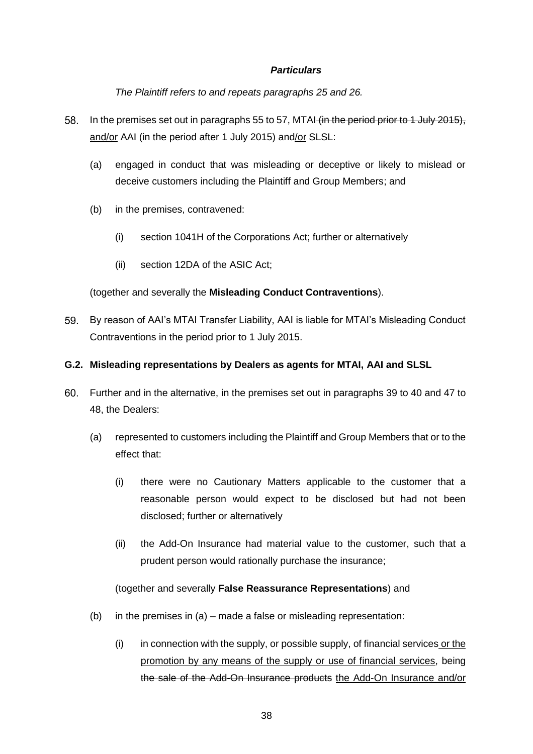### *Particulars*

*The Plaintiff refers to and repeats paragraphs [25](#page-22-0) and [26.](#page-24-0)*

- 58. In the premises set out in paragraphs [55](#page-35-2) to [57,](#page-36-0) MTAI (in the period prior to 1 July 2015), and/or AAI (in the period after 1 July 2015) and/or SLSL:
	- (a) engaged in conduct that was misleading or deceptive or likely to mislead or deceive customers including the Plaintiff and Group Members; and
	- (b) in the premises, contravened:
		- (i) section 1041H of the Corporations Act; further or alternatively
		- (ii) section 12DA of the ASIC Act;

## (together and severally the **Misleading Conduct Contraventions**).

<span id="page-37-2"></span>59. By reason of AAI's MTAI Transfer Liability, AAI is liable for MTAI's Misleading Conduct Contraventions in the period prior to 1 July 2015.

## <span id="page-37-0"></span>**G.2. Misleading representations by Dealers as agents for MTAI, AAI and SLSL**

- <span id="page-37-1"></span>Further and in the alternative, in the premises set out in paragraphs [39](#page-29-0) to [40](#page-30-0) and [47](#page-33-0) to [48,](#page-33-1) the Dealers:
	- (a) represented to customers including the Plaintiff and Group Members that or to the effect that:
		- (i) there were no Cautionary Matters applicable to the customer that a reasonable person would expect to be disclosed but had not been disclosed; further or alternatively
		- (ii) the Add-On Insurance had material value to the customer, such that a prudent person would rationally purchase the insurance;

## (together and severally **False Reassurance Representations**) and

- (b) in the premises in (a) made a false or misleading representation:
	- (i) in connection with the supply, or possible supply, of financial services or the promotion by any means of the supply or use of financial services, being the sale of the Add-On Insurance products the Add-On Insurance and/or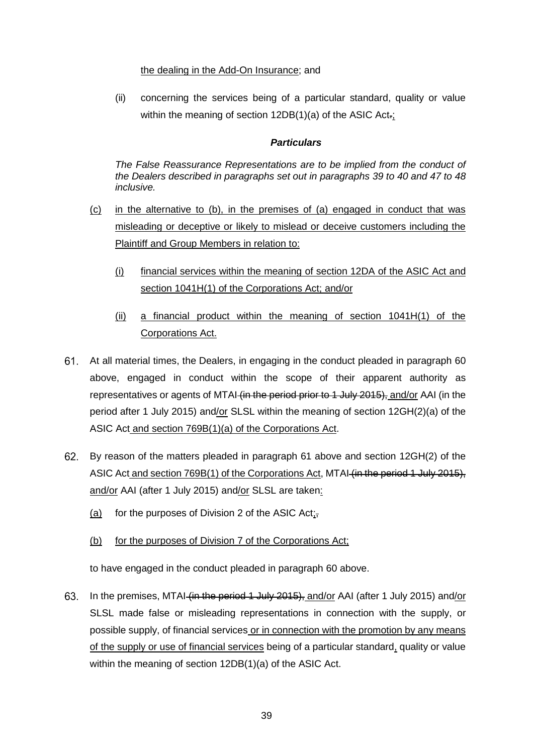### the dealing in the Add-On Insurance; and

(ii) concerning the services being of a particular standard, quality or value within the meaning of section 12DB(1)(a) of the ASIC Act-;

### *Particulars*

*The False Reassurance Representations are to be implied from the conduct of the Dealers described in paragraphs set out in paragraphs [39](#page-29-0) to [40](#page-30-0) and [47](#page-33-0) to [48](#page-33-1) inclusive.*

- (c) in the alternative to (b), in the premises of (a) engaged in conduct that was misleading or deceptive or likely to mislead or deceive customers including the Plaintiff and Group Members in relation to:
	- (i) financial services within the meaning of section 12DA of the ASIC Act and section 1041H(1) of the Corporations Act; and/or
	- (ii) a financial product within the meaning of section 1041H(1) of the Corporations Act.
- At all material times, the Dealers, in engaging in the conduct pleaded in paragraph [60](#page-37-1) above, engaged in conduct within the scope of their apparent authority as representatives or agents of MTAI (in the period prior to 1 July 2015), and/or AAI (in the period after 1 July 2015) and/or SLSL within the meaning of section 12GH(2)(a) of the ASIC Act and section 769B(1)(a) of the Corporations Act.
- By reason of the matters pleaded in paragraph 61 above and section 12GH(2) of the ASIC Act and section 769B(1) of the Corporations Act, MTAI (in the period 1 July 2015), and/or AAI (after 1 July 2015) and/or SLSL are taken:
	- (a) for the purposes of Division 2 of the ASIC Act;
	- (b) for the purposes of Division 7 of the Corporations Act;

to have engaged in the conduct pleaded in paragraph [60](#page-37-1) above.

63. In the premises, MTAI (in the period 1 July 2015), and/or AAI (after 1 July 2015) and/or SLSL made false or misleading representations in connection with the supply, or possible supply, of financial services or in connection with the promotion by any means of the supply or use of financial services being of a particular standard, quality or value within the meaning of section 12DB(1)(a) of the ASIC Act.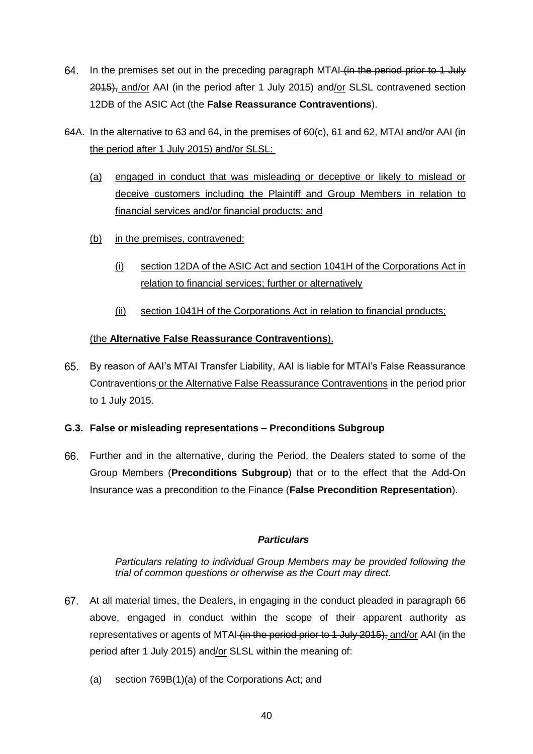- 64. In the premises set out in the preceding paragraph MTAI (in the period prior to 1 July 2015), and/or AAI (in the period after 1 July 2015) and/or SLSL contravened section 12DB of the ASIC Act (the **False Reassurance Contraventions**).
- 64A. In the alternative to 63 and 64, in the premises of 60(c), 61 and 62, MTAI and/or AAI (in the period after 1 July 2015) and/or SLSL:
	- (a) engaged in conduct that was misleading or deceptive or likely to mislead or deceive customers including the Plaintiff and Group Members in relation to financial services and/or financial products; and
	- (b) in the premises, contravened:
		- (i) section 12DA of the ASIC Act and section 1041H of the Corporations Act in relation to financial services; further or alternatively
		- (ii) section 1041H of the Corporations Act in relation to financial products;

## (the **Alternative False Reassurance Contraventions**).

<span id="page-39-3"></span>By reason of AAI's MTAI Transfer Liability, AAI is liable for MTAI's False Reassurance Contraventions or the Alternative False Reassurance Contraventions in the period prior to 1 July 2015.

## <span id="page-39-0"></span>**G.3. False or misleading representations – Preconditions Subgroup**

<span id="page-39-1"></span>Further and in the alternative, during the Period, the Dealers stated to some of the Group Members (**Preconditions Subgroup**) that or to the effect that the Add-On Insurance was a precondition to the Finance (**False Precondition Representation**).

## *Particulars*

*Particulars relating to individual Group Members may be provided following the trial of common questions or otherwise as the Court may direct.*

- <span id="page-39-2"></span>At all material times, the Dealers, in engaging in the conduct pleaded in paragraph [66](#page-39-1) above, engaged in conduct within the scope of their apparent authority as representatives or agents of MTAI (in the period prior to 1 July 2015), and/or AAI (in the period after 1 July 2015) and/or SLSL within the meaning of:
	- (a) section 769B(1)(a) of the Corporations Act; and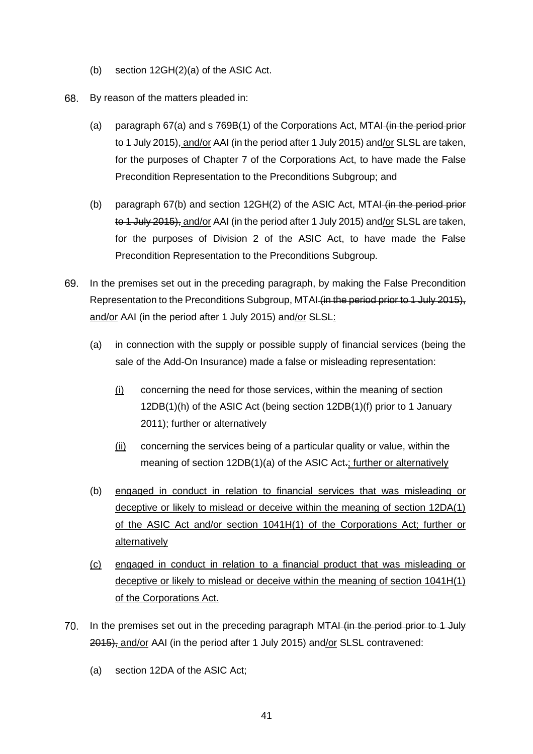- (b) section 12GH(2)(a) of the ASIC Act.
- <span id="page-40-0"></span>68. By reason of the matters pleaded in:
	- (a) paragraph  $67(a)$  and s  $769B(1)$  of the Corporations Act, MTAI (in the period prior to 1 July 2015), and/or AAI (in the period after 1 July 2015) and/or SLSL are taken, for the purposes of Chapter 7 of the Corporations Act, to have made the False Precondition Representation to the Preconditions Subgroup; and
	- (b) paragraph  $67(b)$  and section  $12GH(2)$  of the ASIC Act, MTAI (in the period prior to 1 July 2015), and/or AAI (in the period after 1 July 2015) and/or SLSL are taken, for the purposes of Division 2 of the ASIC Act, to have made the False Precondition Representation to the Preconditions Subgroup.
- 69. In the premises set out in the preceding paragraph, by making the False Precondition Representation to the Preconditions Subgroup, MTAI (in the period prior to 1 July 2015), and/or AAI (in the period after 1 July 2015) and/or SLSL:
	- (a) in connection with the supply or possible supply of financial services (being the sale of the Add-On Insurance) made a false or misleading representation:
		- $(i)$  concerning the need for those services, within the meaning of section 12DB(1)(h) of the ASIC Act (being section 12DB(1)(f) prior to 1 January 2011); further or alternatively
		- (ii) concerning the services being of a particular quality or value, within the meaning of section 12DB(1)(a) of the ASIC Act-; further or alternatively
	- (b) engaged in conduct in relation to financial services that was misleading or deceptive or likely to mislead or deceive within the meaning of section 12DA(1) of the ASIC Act and/or section 1041H(1) of the Corporations Act; further or **alternatively**
	- (c) engaged in conduct in relation to a financial product that was misleading or deceptive or likely to mislead or deceive within the meaning of section 1041H(1) of the Corporations Act.
- 70. In the premises set out in the preceding paragraph MTAI (in the period prior to 1 July 2015), and/or AAI (in the period after 1 July 2015) and/or SLSL contravened:
	- (a) section 12DA of the ASIC Act;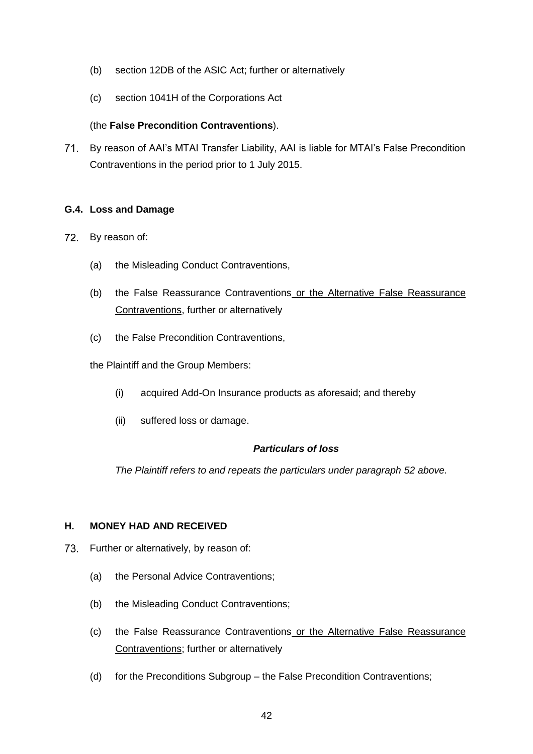- (b) section 12DB of the ASIC Act; further or alternatively
- (c) section 1041H of the Corporations Act

### (the **False Precondition Contraventions**).

<span id="page-41-3"></span>71. By reason of AAI's MTAI Transfer Liability, AAI is liable for MTAI's False Precondition Contraventions in the period prior to 1 July 2015.

### <span id="page-41-0"></span>**G.4. Loss and Damage**

- 72. By reason of:
	- (a) the Misleading Conduct Contraventions,
	- (b) the False Reassurance Contraventions or the Alternative False Reassurance Contraventions, further or alternatively
	- (c) the False Precondition Contraventions,

the Plaintiff and the Group Members:

- (i) acquired Add-On Insurance products as aforesaid; and thereby
- (ii) suffered loss or damage.

### *Particulars of loss*

*The Plaintiff refers to and repeats the particulars under paragraph [52](#page-34-4) above.*

### <span id="page-41-1"></span>**H. MONEY HAD AND RECEIVED**

- <span id="page-41-2"></span>73. Further or alternatively, by reason of:
	- (a) the Personal Advice Contraventions;
	- (b) the Misleading Conduct Contraventions;
	- (c) the False Reassurance Contraventions or the Alternative False Reassurance Contraventions; further or alternatively
	- (d) for the Preconditions Subgroup the False Precondition Contraventions;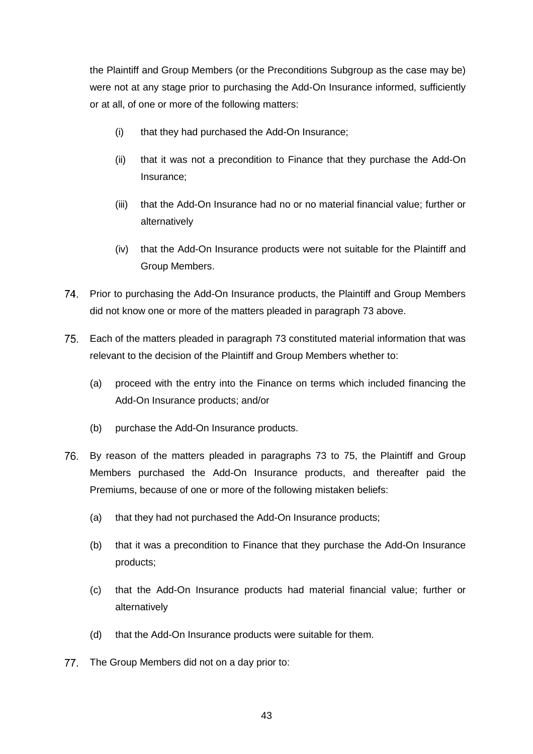the Plaintiff and Group Members (or the Preconditions Subgroup as the case may be) were not at any stage prior to purchasing the Add-On Insurance informed, sufficiently or at all, of one or more of the following matters:

- (i) that they had purchased the Add-On Insurance;
- (ii) that it was not a precondition to Finance that they purchase the Add-On Insurance;
- (iii) that the Add-On Insurance had no or no material financial value; further or alternatively
- (iv) that the Add-On Insurance products were not suitable for the Plaintiff and Group Members.
- <span id="page-42-2"></span>Prior to purchasing the Add-On Insurance products, the Plaintiff and Group Members did not know one or more of the matters pleaded in paragraph [73](#page-41-2) above.
- <span id="page-42-1"></span>75. Each of the matters pleaded in paragraph [73](#page-41-2) constituted material information that was relevant to the decision of the Plaintiff and Group Members whether to:
	- (a) proceed with the entry into the Finance on terms which included financing the Add-On Insurance products; and/or
	- (b) purchase the Add-On Insurance products.
- <span id="page-42-0"></span>By reason of the matters pleaded in paragraphs [73](#page-41-2) to [75,](#page-42-1) the Plaintiff and Group Members purchased the Add-On Insurance products, and thereafter paid the Premiums, because of one or more of the following mistaken beliefs:
	- (a) that they had not purchased the Add-On Insurance products;
	- (b) that it was a precondition to Finance that they purchase the Add-On Insurance products;
	- (c) that the Add-On Insurance products had material financial value; further or alternatively
	- (d) that the Add-On Insurance products were suitable for them.
- <span id="page-42-3"></span>77. The Group Members did not on a day prior to: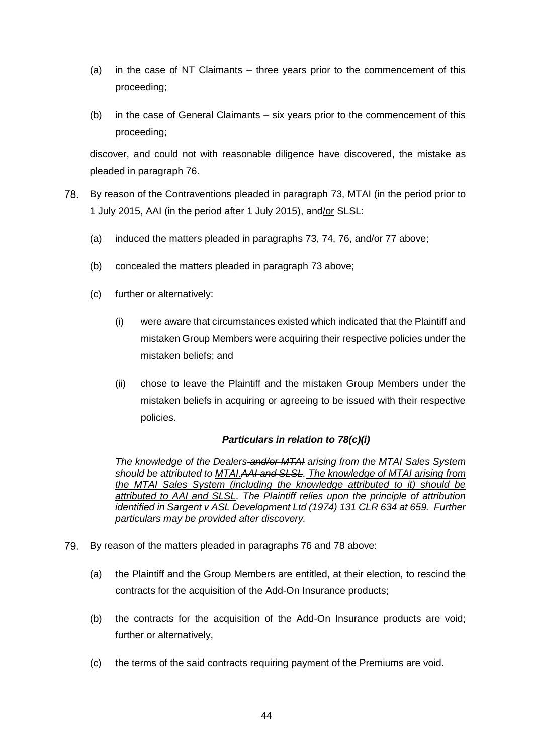- (a) in the case of NT Claimants three years prior to the commencement of this proceeding;
- (b) in the case of General Claimants six years prior to the commencement of this proceeding;

discover, and could not with reasonable diligence have discovered, the mistake as pleaded in paragraph [76.](#page-42-0)

- <span id="page-43-3"></span><span id="page-43-1"></span><span id="page-43-0"></span>78. By reason of the Contraventions pleaded in paragraph [73,](#page-41-2) MTAI (in the period prior to 1 July 2015, AAI (in the period after 1 July 2015), and/or SLSL:
	- (a) induced the matters pleaded in paragraphs [73,](#page-41-2) [74,](#page-42-2) [76,](#page-42-0) and/or [77](#page-42-3) above;
	- (b) concealed the matters pleaded in paragraph [73](#page-41-2) above;
	- (c) further or alternatively:
		- (i) were aware that circumstances existed which indicated that the Plaintiff and mistaken Group Members were acquiring their respective policies under the mistaken beliefs; and
		- (ii) chose to leave the Plaintiff and the mistaken Group Members under the mistaken beliefs in acquiring or agreeing to be issued with their respective policies.

### *Particulars in relation to [78\(c\)\(i\)](#page-43-0)*

*The knowledge of the Dealers and/or MTAI arising from the MTAI Sales System should be attributed to MTAI.AAI and SLSL. The knowledge of MTAI arising from the MTAI Sales System (including the knowledge attributed to it) should be attributed to AAI and SLSL. The Plaintiff relies upon the principle of attribution identified in Sargent v ASL Development Ltd (1974) 131 CLR 634 at 659. Further particulars may be provided after discovery.*

- <span id="page-43-2"></span>By reason of the matters pleaded in paragraphs [76](#page-42-0) and [78](#page-43-1) above: 79
	- (a) the Plaintiff and the Group Members are entitled, at their election, to rescind the contracts for the acquisition of the Add-On Insurance products;
	- (b) the contracts for the acquisition of the Add-On Insurance products are void; further or alternatively,
	- (c) the terms of the said contracts requiring payment of the Premiums are void.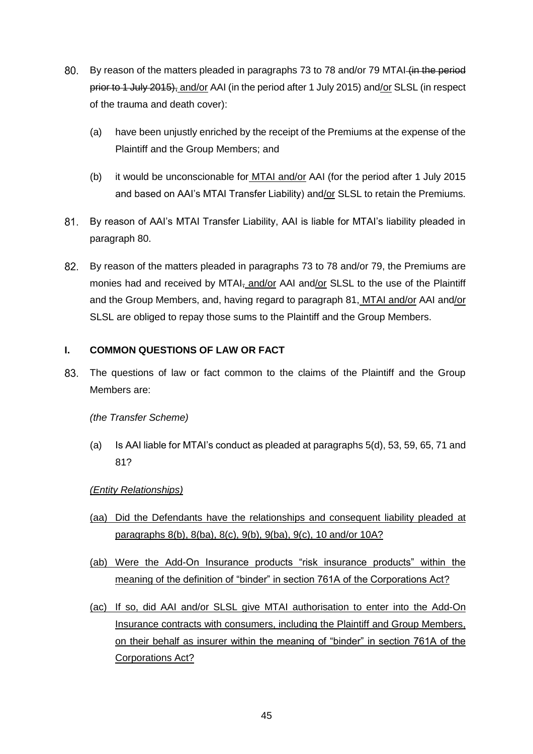- <span id="page-44-1"></span>80. By reason of the matters pleaded in paragraphs [73](#page-41-2) to [78](#page-43-1) and/or [79](#page-43-2) MTAI (in the period prior to 1 July 2015), and/or AAI (in the period after 1 July 2015) and/or SLSL (in respect of the trauma and death cover):
	- (a) have been unjustly enriched by the receipt of the Premiums at the expense of the Plaintiff and the Group Members; and
	- (b) it would be unconscionable for MTAI and/or AAI (for the period after 1 July 2015 and based on AAI's MTAI Transfer Liability) and/or SLSL to retain the Premiums.
- <span id="page-44-2"></span> $81.$ By reason of AAI's MTAI Transfer Liability, AAI is liable for MTAI's liability pleaded in paragraph [80.](#page-44-1)
- By reason of the matters pleaded in paragraphs [73](#page-41-2) to [78](#page-43-1) and/or [79,](#page-43-2) the Premiums are monies had and received by MTAI<sub>r</sub> and/or AAI and/or SLSL to the use of the Plaintiff and the Group Members, and, having regard to paragraph [81,](#page-44-2) MTAI and/or AAI and/or SLSL are obliged to repay those sums to the Plaintiff and the Group Members.

## <span id="page-44-0"></span>**I. COMMON QUESTIONS OF LAW OR FACT**

The questions of law or fact common to the claims of the Plaintiff and the Group 83. Members are:

### *(the Transfer Scheme)*

(a) Is AAI liable for MTAI's conduct as pleaded at paragraphs [5\(d\),](#page-5-1) [53,](#page-34-5) [59,](#page-37-2) [65,](#page-39-3) [71](#page-41-3) and [81?](#page-44-2)

### *(Entity Relationships)*

- (aa) Did the Defendants have the relationships and consequent liability pleaded at paragraphs 8(b), 8(ba), 8(c), 9(b), 9(ba), 9(c), 10 and/or 10A?
- (ab) Were the Add-On Insurance products "risk insurance products" within the meaning of the definition of "binder" in section 761A of the Corporations Act?
- (ac) If so, did AAI and/or SLSL give MTAI authorisation to enter into the Add-On Insurance contracts with consumers, including the Plaintiff and Group Members, on their behalf as insurer within the meaning of "binder" in section 761A of the Corporations Act?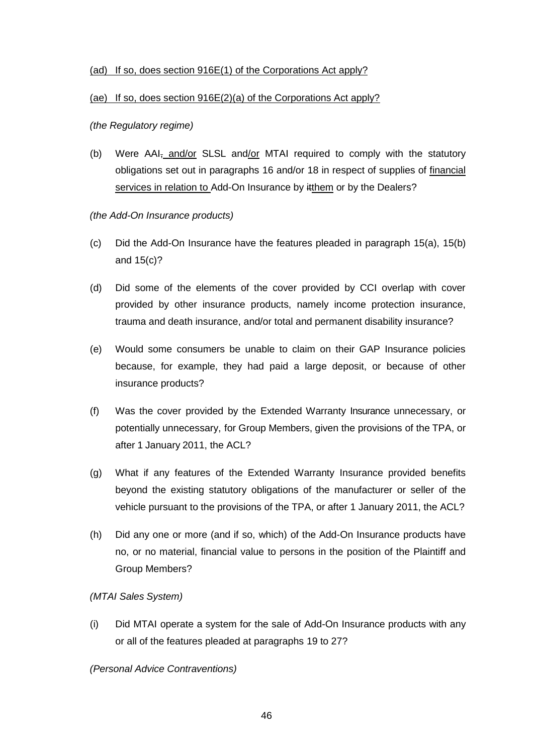### (ad) If so, does section 916E(1) of the Corporations Act apply?

### (ae) If so, does section 916E(2)(a) of the Corporations Act apply?

*(the Regulatory regime)*

- (b) Were AAI, and/or SLSL and/or MTAI required to comply with the statutory obligations set out in paragraphs 16 and/or [18](#page-14-0) in respect of supplies of financial services in relation to Add-On Insurance by itthem or by the Dealers?
- *(the Add-On Insurance products)*
- (c) Did the Add-On Insurance have the features pleaded in paragraph [15\(](#page-11-0)a), [15\(b\)](#page-11-1) and [15\(c\)?](#page-12-0)
- (d) Did some of the elements of the cover provided by CCI overlap with cover provided by other insurance products, namely income protection insurance, trauma and death insurance, and/or total and permanent disability insurance?
- (e) Would some consumers be unable to claim on their GAP Insurance policies because, for example, they had paid a large deposit, or because of other insurance products?
- (f) Was the cover provided by the Extended Warranty Insurance unnecessary, or potentially unnecessary, for Group Members, given the provisions of the TPA, or after 1 January 2011, the ACL?
- (g) What if any features of the Extended Warranty Insurance provided benefits beyond the existing statutory obligations of the manufacturer or seller of the vehicle pursuant to the provisions of the TPA, or after 1 January 2011, the ACL?
- (h) Did any one or more (and if so, which) of the Add-On Insurance products have no, or no material, financial value to persons in the position of the Plaintiff and Group Members?

## *(MTAI Sales System)*

(i) Did MTAI operate a system for the sale of Add-On Insurance products with any or all of the features pleaded at paragraphs [19](#page-16-2) to [27?](#page-24-2)

*(Personal Advice Contraventions)*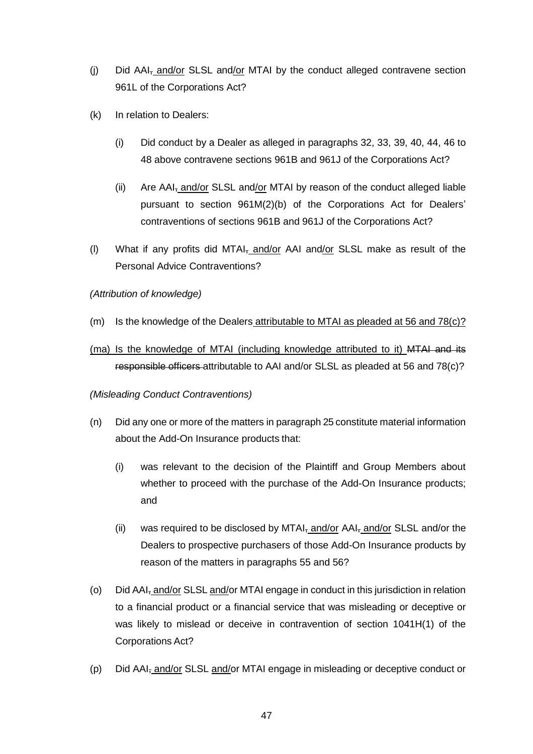- (j) Did AAI<sub>7</sub> and/or SLSL and/or MTAI by the conduct alleged contravene section 961L of the Corporations Act?
- (k) In relation to Dealers:
	- (i) Did conduct by a Dealer as alleged in paragraphs [32,](#page-26-1) [33,](#page-26-2) [39,](#page-29-0) [40,](#page-30-0) [44,](#page-31-1) [46](#page-32-1) to [48](#page-33-1) above contravene sections 961B and 961J of the Corporations Act?
	- (ii) Are AAI, and/or SLSL and/or MTAI by reason of the conduct alleged liable pursuant to section 961M(2)(b) of the Corporations Act for Dealers' contraventions of sections 961B and 961J of the Corporations Act?
- (I) What if any profits did MTAI $_7$  and/or AAI and/or SLSL make as result of the Personal Advice Contraventions?

### *(Attribution of knowledge)*

- (m) Is the knowledge of the Dealers attributable to MTAI as pleaded at [56](#page-36-1) and  $78(c)$ ?
- (ma) Is the knowledge of MTAI (including knowledge attributed to it) MTAI and its responsible officers attributable to AAI and/or SLSL as pleaded at [56](#page-36-1) and [78\(c\)?](#page-43-3)

### *(Misleading Conduct Contraventions)*

- (n) Did any one or more of the matters in paragraph [25](#page-22-0) constitute material information about the Add-On Insurance products that:
	- (i) was relevant to the decision of the Plaintiff and Group Members about whether to proceed with the purchase of the Add-On Insurance products; and
	- (ii) was required to be disclosed by MTAI $_7$  and/or AAI $_7$  and/or SLSL and/or the Dealers to prospective purchasers of those Add-On Insurance products by reason of the matters in paragraphs [55](#page-35-2) and [56?](#page-36-1)
- (o) Did AAI<sub>7</sub> and/or SLSL and/or MTAI engage in conduct in this jurisdiction in relation to a financial product or a financial service that was misleading or deceptive or was likely to mislead or deceive in contravention of section 1041H(1) of the Corporations Act?
- (p) Did AAI<sub>7</sub> and/or SLSL and/or MTAI engage in misleading or deceptive conduct or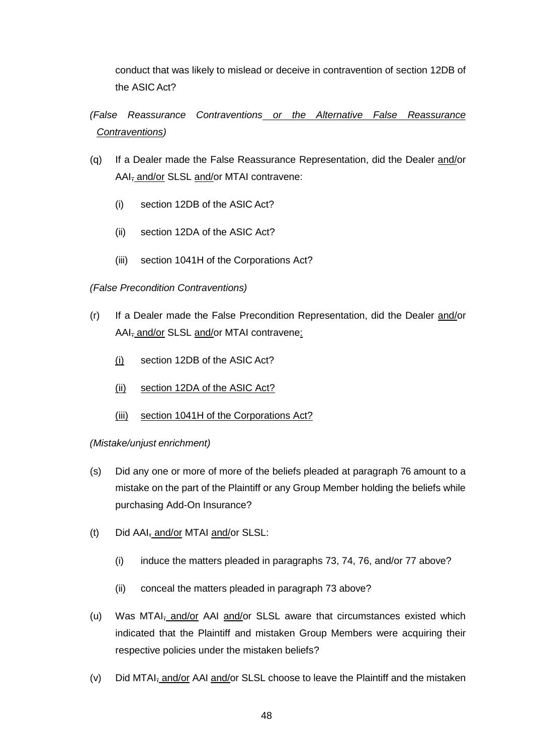conduct that was likely to mislead or deceive in contravention of section 12DB of the ASIC Act?

*(False Reassurance Contraventions or the Alternative False Reassurance Contraventions)*

- (q) If a Dealer made the False Reassurance Representation, did the Dealer and/or AAI, and/or SLSL and/or MTAI contravene:
	- (i) section 12DB of the ASIC Act?
	- (ii) section 12DA of the ASIC Act?
	- (iii) section 1041H of the Corporations Act?

### *(False Precondition Contraventions)*

- (r) If a Dealer made the False Precondition Representation, did the Dealer and/or AAI<sub>z</sub> and/or SLSL and/or MTAI contravene:
	- (i) section 12DB of the ASIC Act?
	- (ii) section 12DA of the ASIC Act?
	- (iii) section 1041H of the Corporations Act?

*(Mistake/unjust enrichment)*

- <span id="page-47-0"></span>(s) Did any one or more of more of the beliefs pleaded at paragraph [76](#page-42-0) amount to a mistake on the part of the Plaintiff or any Group Member holding the beliefs while purchasing Add-On Insurance?
- (t) Did AAI, and/or MTAI and/or SLSL:
	- (i) induce the matters pleaded in paragraphs [73,](#page-41-2) [74,](#page-42-2) [76,](#page-42-0) and/or [77](#page-42-3) above?
	- (ii) conceal the matters pleaded in paragraph [73](#page-41-2) above?
- (u) Was MTAI<sub>7</sub> and/or AAI and/or SLSL aware that circumstances existed which indicated that the Plaintiff and mistaken Group Members were acquiring their respective policies under the mistaken beliefs?
- <span id="page-47-1"></span>(v) Did MTAI $\frac{1}{2}$  and/or AAI and/or SLSL choose to leave the Plaintiff and the mistaken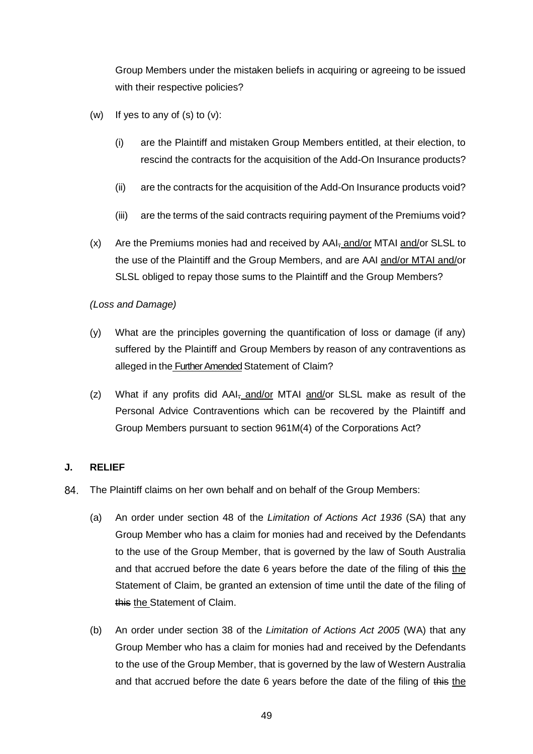Group Members under the mistaken beliefs in acquiring or agreeing to be issued with their respective policies?

- (w) If yes to any of  $(s)$  to  $(v)$ :
	- (i) are the Plaintiff and mistaken Group Members entitled, at their election, to rescind the contracts for the acquisition of the Add-On Insurance products?
	- (ii) are the contracts for the acquisition of the Add-On Insurance products void?
	- (iii) are the terms of the said contracts requiring payment of the Premiums void?
- (x) Are the Premiums monies had and received by AAI, and/or MTAI and/or SLSL to the use of the Plaintiff and the Group Members, and are AAI and/or MTAI and/or SLSL obliged to repay those sums to the Plaintiff and the Group Members?

*(Loss and Damage)*

- (y) What are the principles governing the quantification of loss or damage (if any) suffered by the Plaintiff and Group Members by reason of any contraventions as alleged in the Further Amended Statement of Claim?
- (z) What if any profits did  $AAI_{\tau}$  and/or MTAI and/or SLSL make as result of the Personal Advice Contraventions which can be recovered by the Plaintiff and Group Members pursuant to section 961M(4) of the Corporations Act?

### <span id="page-48-0"></span>**J. RELIEF**

- 84. The Plaintiff claims on her own behalf and on behalf of the Group Members:
	- (a) An order under section 48 of the *Limitation of Actions Act 1936* (SA) that any Group Member who has a claim for monies had and received by the Defendants to the use of the Group Member, that is governed by the law of South Australia and that accrued before the date 6 years before the date of the filing of this the Statement of Claim, be granted an extension of time until the date of the filing of this the Statement of Claim.
	- (b) An order under section 38 of the *Limitation of Actions Act 2005* (WA) that any Group Member who has a claim for monies had and received by the Defendants to the use of the Group Member, that is governed by the law of Western Australia and that accrued before the date 6 years before the date of the filing of this the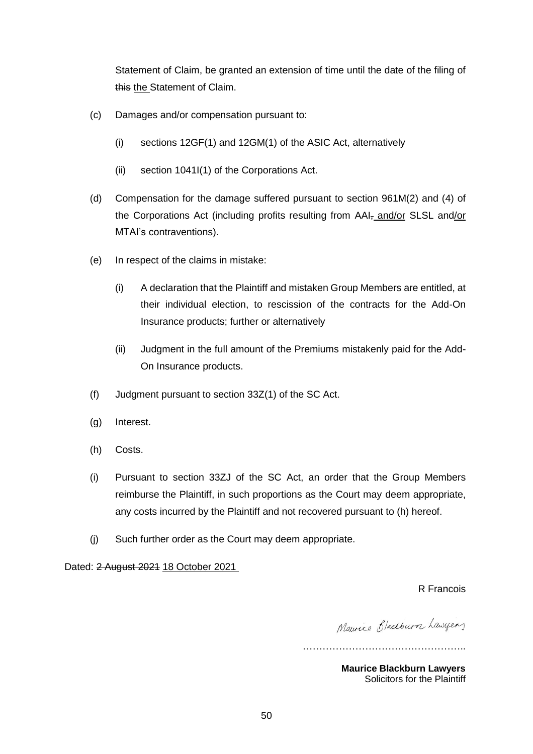Statement of Claim, be granted an extension of time until the date of the filing of this the Statement of Claim.

- (c) Damages and/or compensation pursuant to:
	- (i) sections 12GF(1) and 12GM(1) of the ASIC Act, alternatively
	- (ii) section 1041I(1) of the Corporations Act.
- (d) Compensation for the damage suffered pursuant to section 961M(2) and (4) of the Corporations Act (including profits resulting from AAI<sub>7</sub> and/or SLSL and/or MTAI's contraventions).
- (e) In respect of the claims in mistake:
	- (i) A declaration that the Plaintiff and mistaken Group Members are entitled, at their individual election, to rescission of the contracts for the Add-On Insurance products; further or alternatively
	- (ii) Judgment in the full amount of the Premiums mistakenly paid for the Add-On Insurance products.
- (f) Judgment pursuant to section 33Z(1) of the SC Act.
- (g) Interest.
- (h) Costs.
- (i) Pursuant to section 33ZJ of the SC Act, an order that the Group Members reimburse the Plaintiff, in such proportions as the Court may deem appropriate, any costs incurred by the Plaintiff and not recovered pursuant to (h) hereof.
- (j) Such further order as the Court may deem appropriate.

Dated: 2 August 2021 18 October 2021

R Francois

Maurice Blackburn Lawyers

…………………………………………..

**Maurice Blackburn Lawyers** Solicitors for the Plaintiff